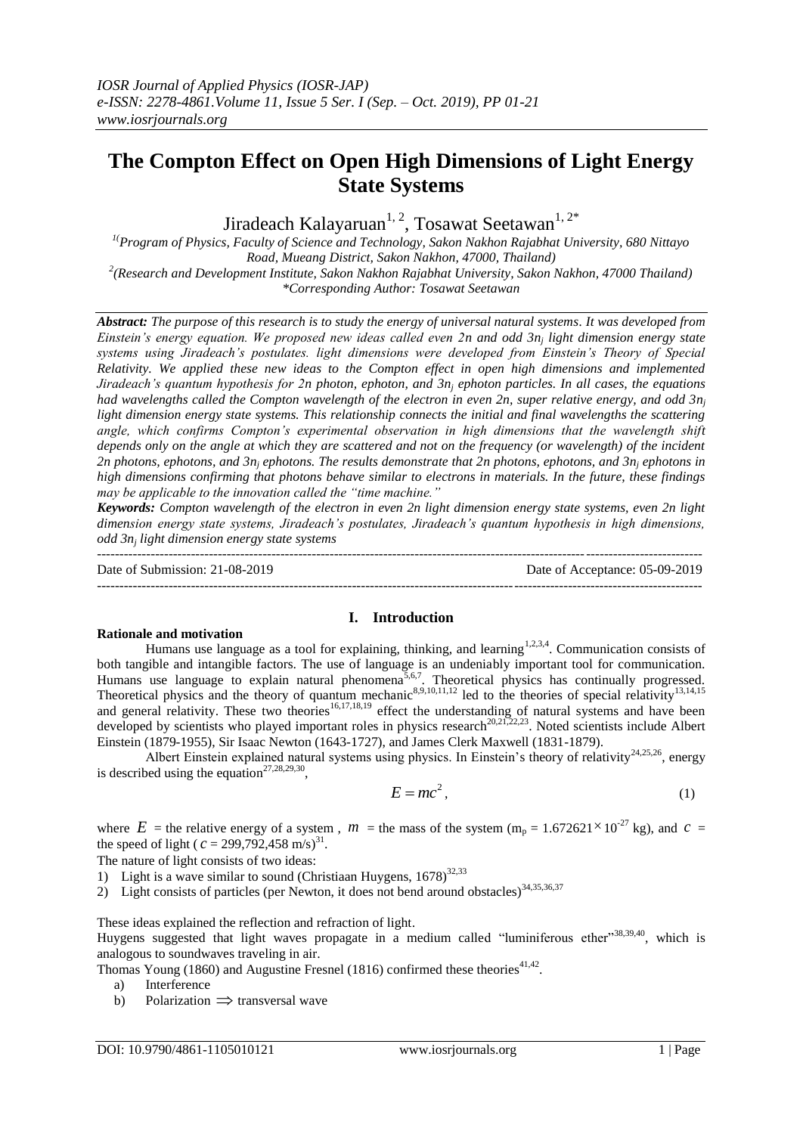# **The Compton Effect on Open High Dimensions of Light Energy State Systems**

Jiradeach Kalayaruan<sup>1, 2</sup>, Tosawat Seetawan<sup>1, 2\*</sup>

*1(Program of Physics, Faculty of Science and Technology, Sakon Nakhon Rajabhat University, 680 Nittayo Road, Mueang District, Sakon Nakhon, 47000, Thailand)*

*2 (Research and Development Institute, Sakon Nakhon Rajabhat University, Sakon Nakhon, 47000 Thailand) \*Corresponding Author: Tosawat Seetawan*

*Abstract: The purpose of this research is to study the energy of universal natural systems. It was developed from Einstein's energy equation. We proposed new ideas called even 2n and odd 3n<sup>j</sup> light dimension energy state systems using Jiradeach's postulates. light dimensions were developed from Einstein's Theory of Special Relativity. We applied these new ideas to the Compton effect in open high dimensions and implemented Jiradeach's quantum hypothesis for 2n photon, ephoton, and 3n<sup>j</sup> ephoton particles. In all cases, the equations had wavelengths called the Compton wavelength of the electron in even 2n, super relative energy, and odd 3n<sup>j</sup> light dimension energy state systems. This relationship connects the initial and final wavelengths the scattering angle, which confirms Compton's experimental observation in high dimensions that the wavelength shift depends only on the angle at which they are scattered and not on the frequency (or wavelength) of the incident 2n photons, ephotons, and 3n<sup>j</sup> ephotons. The results demonstrate that 2n photons, ephotons, and 3n<sup>j</sup> ephotons in high dimensions confirming that photons behave similar to electrons in materials. In the future, these findings may be applicable to the innovation called the "time machine."*

*Keywords: Compton wavelength of the electron in even 2n light dimension energy state systems, even 2n light dimension energy state systems, Jiradeach's postulates, Jiradeach's quantum hypothesis in high dimensions, odd 3n<sup>j</sup> light dimension energy state systems*

--------------------------------------------------------------------------------------------------------------------------------------- Date of Submission: 21-08-2019 Date of Acceptance: 05-09-2019 ---------------------------------------------------------------------------------------------------------------------------------------

**I. Introduction**

## **Rationale and motivation**

Humans use language as a tool for explaining, thinking, and learning<sup>1,2,3,4</sup>. Communication consists of both tangible and intangible factors. The use of language is an undeniably important tool for communication. Humans use language to explain natural phenomena<sup>5,6,7</sup>. Theoretical physics has continually progressed. Theoretical physics and the theory of quantum mechanic<sup>8,9,10,11,12</sup> led to the theories of special relativity<sup>13,14,15</sup> and general relativity. These two theories<sup>16,17,18,19</sup> effect the understanding of natural systems and have been developed by scientists who played important roles in physics research<sup>20,21,22,23</sup>. Noted scientists include Albert Einstein (1879-1955), Sir Isaac Newton (1643-1727), and James Clerk Maxwell (1831-1879).

Albert Einstein explained natural systems using physics. In Einstein's theory of relativity<sup>24,25,26</sup>, energy is described using the equation<sup>27,28,29,30</sup>,

$$
E = mc^2, \tag{1}
$$

where  $E =$  the relative energy of a system,  $m =$  the mass of the system ( $m_p = 1.672621 \times 10^{-27}$  kg), and  $c =$ the speed of light ( $c = 299,792,458$  m/s)<sup>31</sup>.

The nature of light consists of two ideas:

- 1) Light is a wave similar to sound (Christiaan Huygens,  $1678)^{32,33}$
- 2) Light consists of particles (per Newton, it does not bend around obstacles) $34,35,36,37$

These ideas explained the reflection and refraction of light.

Huygens suggested that light waves propagate in a medium called "luminiferous ether"38,39,40, which is analogous to soundwaves traveling in air.

- Thomas Young (1860) and Augustine Fresnel (1816) confirmed these theories<sup>41,42</sup>.
	- a) Interference
- b) Polarization  $\Rightarrow$  transversal wave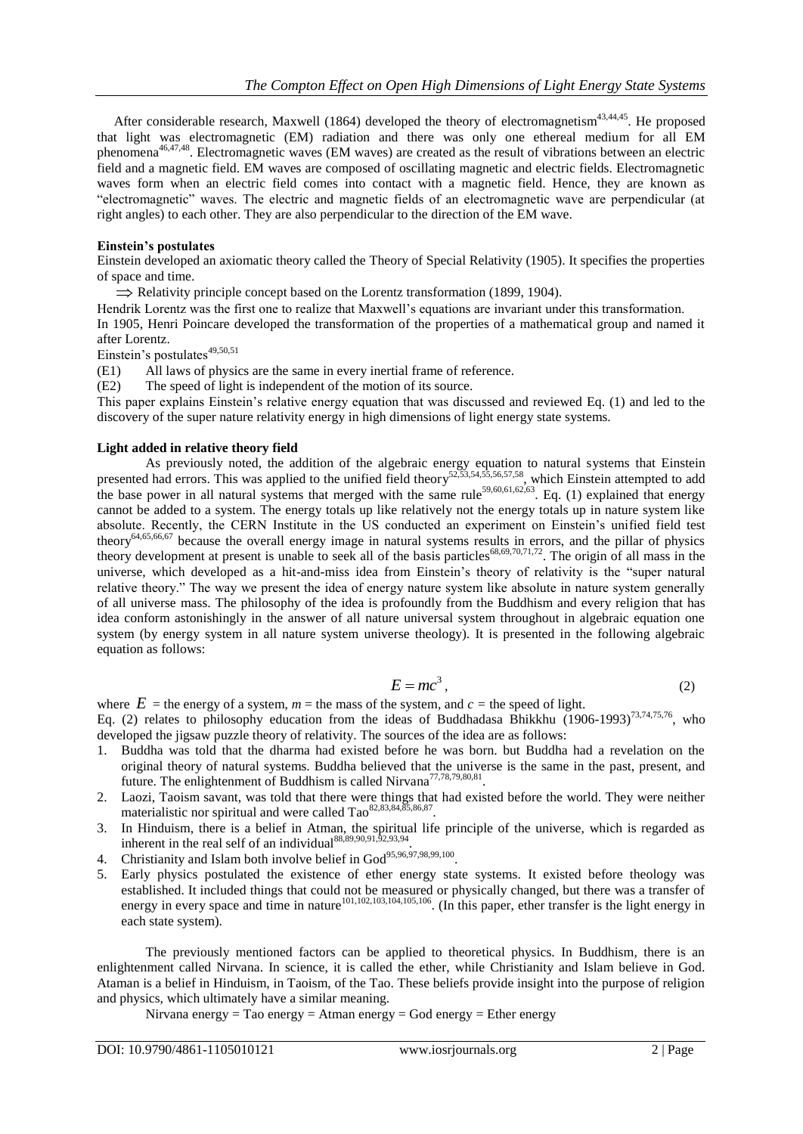After considerable research, Maxwell (1864) developed the theory of electromagnetism<sup>43,44,45</sup>. He proposed that light was electromagnetic (EM) radiation and there was only one ethereal medium for all EM phenomena46,47,48. Electromagnetic waves (EM waves) are created as the result of vibrations between an electric field and a magnetic field. EM waves are composed of oscillating magnetic and electric fields. Electromagnetic waves form when an electric field comes into contact with a magnetic field. Hence, they are known as "electromagnetic" waves. The electric and magnetic fields of an electromagnetic wave are perpendicular (at right angles) to each other. They are also perpendicular to the direction of the EM wave.

## **Einstein's postulates**

Einstein developed an axiomatic theory called the Theory of Special Relativity (1905). It specifies the properties of space and time.

 $\Rightarrow$  Relativity principle concept based on the Lorentz transformation (1899, 1904).

Hendrik Lorentz was the first one to realize that Maxwell's equations are invariant under this transformation.

In 1905, Henri Poincare developed the transformation of the properties of a mathematical group and named it after Lorentz.

Einstein's postulates<sup>49,50,51</sup>

(E1) All laws of physics are the same in every inertial frame of reference.

(E2) The speed of light is independent of the motion of its source.

This paper explains Einstein's relative energy equation that was discussed and reviewed Eq. (1) and led to the discovery of the super nature relativity energy in high dimensions of light energy state systems.

#### **Light added in relative theory field**

As previously noted, the addition of the algebraic energy equation to natural systems that Einstein presented had errors. This was applied to the unified field theory<sup>52,53,54,55,56,57,58</sup>, which Einstein attempted to add the base power in all natural systems that merged with the same rule<sup>59,60,61,62,63</sup>. Eq. (1) explained that energy cannot be added to a system. The energy totals up like relatively not the energy totals up in nature system like absolute. Recently, the CERN Institute in the US conducted an experiment on Einstein's unified field test theory<sup>64,65,66,67</sup> because the overall energy image in natural systems results in errors, and the pillar of physics theory development at present is unable to seek all of the basis particles<sup>68,69,70,71,72</sup>. The origin of all mass in the universe, which developed as a hit-and-miss idea from Einstein's theory of relativity is the "super natural relative theory." The way we present the idea of energy nature system like absolute in nature system generally of all universe mass. The philosophy of the idea is profoundly from the Buddhism and every religion that has idea conform astonishingly in the answer of all nature universal system throughout in algebraic equation one system (by energy system in all nature system universe theology). It is presented in the following algebraic equation as follows:

$$
E = mc^3, \tag{2}
$$

where  $E =$  the energy of a system,  $m =$  the mass of the system, and  $c =$  the speed of light. Eq. (2) relates to philosophy education from the ideas of Buddhadasa Bhikkhu (1906-1993)<sup>73,74,75,76</sup>, who developed the jigsaw puzzle theory of relativity. The sources of the idea are as follows:

- 1. Buddha was told that the dharma had existed before he was born. but Buddha had a revelation on the original theory of natural systems. Buddha believed that the universe is the same in the past, present, and future. The enlightenment of Buddhism is called Nirvana<sup>77,78,79,80,81</sup>.
- 2. Laozi, Taoism savant, was told that there were things that had existed before the world. They were neither materialistic nor spiritual and were called Tao<sup>82,83,84,85,86,87</sup>.
- 3. In Hinduism, there is a belief in Atman, the spiritual life principle of the universe, which is regarded as inherent in the real self of an individual $88,89,90,91,52,93,94$ .
- 4. Christianity and Islam both involve belief in  $God^{95,96,97,98,99,100}$ .
- 5. Early physics postulated the existence of ether energy state systems. It existed before theology was established. It included things that could not be measured or physically changed, but there was a transfer of energy in every space and time in nature<sup>101,102,103,104,105,106</sup>. (In this paper, ether transfer is the light energy in each state system).

The previously mentioned factors can be applied to theoretical physics. In Buddhism, there is an enlightenment called Nirvana. In science, it is called the ether, while Christianity and Islam believe in God. Ataman is a belief in Hinduism, in Taoism, of the Tao. These beliefs provide insight into the purpose of religion and physics, which ultimately have a similar meaning.

Nirvana energy = Tao energy = Atman energy = God energy = Ether energy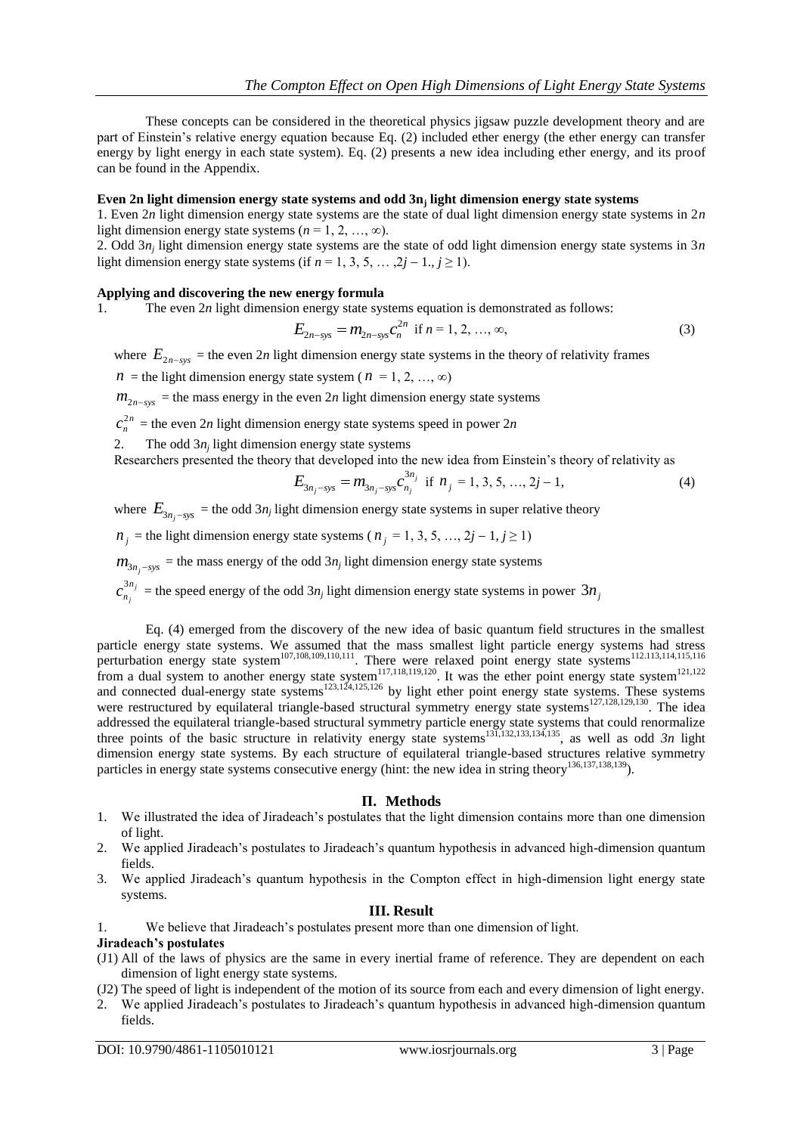These concepts can be considered in the theoretical physics jigsaw puzzle development theory and are part of Einstein's relative energy equation because Eq. (2) included ether energy (the ether energy can transfer energy by light energy in each state system). Eq. (2) presents a new idea including ether energy, and its proof can be found in the Appendix.

# **Even 2n light dimension energy state systems and odd 3n<sup>j</sup> light dimension energy state systems**

1. Even 2*n* light dimension energy state systems are the state of dual light dimension energy state systems in 2*n* light dimension energy state systems  $(n = 1, 2, ..., \infty)$ .

2. Odd 3*n<sup>j</sup>* light dimension energy state systems are the state of odd light dimension energy state systems in 3*n* light dimension energy state systems (if  $n = 1, 3, 5, \ldots, 2j - 1, j \ge 1$ ).

## **Applying and discovering the new energy formula**

1. The even 2*n* light dimension energy state systems equation is demonstrated as follows:

$$
E_{2n-\text{sys}} = m_{2n-\text{sys}}c_n^{2n} \text{ if } n = 1, 2, ..., \infty,
$$
\n(3)

where  $E_{2n-sys}$  = the even 2*n* light dimension energy state systems in the theory of relativity frames

 $n =$  the light dimension energy state system ( $n = 1, 2, ..., \infty$ )

 $m_{2n-sys}$  = the mass energy in the even 2*n* light dimension energy state systems

2*n*  $c_n^{2n}$  = the even 2*n* light dimension energy state systems speed in power 2*n* 

2. The odd  $3n_j$  light dimension energy state systems

Researchers presented the theory that developed into the new idea from Einstein's theory of relativity as

$$
E_{3n_j-sys} = m_{3n_j-sys} c_{n_j}^{3n_j} \text{ if } n_j = 1, 3, 5, ..., 2j-1,
$$
 (4)

where  $E_{3n_j-sys}$  = the odd 3*n<sub>j</sub>* light dimension energy state systems in super relative theory

 $n_j$  = the light dimension energy state systems ( $n_j$  = 1, 3, 5, ..., 2*j* – 1, *j* ≥ 1)

 $m_{3n_j - sys}$  = the mass energy of the odd  $3n_j$  light dimension energy state systems

3 *<sup>j</sup> j n*  $c_{n_i}^{3n_j}$  = the speed energy of the odd  $3n_j$  light dimension energy state systems in power  $3n_j$ 

Eq. (4) emerged from the discovery of the new idea of basic quantum field structures in the smallest particle energy state systems. We assumed that the mass smallest light particle energy systems had stress perturbation energy state system<sup>107,108,109,110,111</sup>. There were relaxed point energy state systems<sup>112.113,114,115,116</sup> from a dual system to another energy state system<sup>117,118,119,120</sup>. It was the ether point energy state system<sup>121,122</sup> and connected dual-energy state systems<sup>123,124,125,126</sup> by light ether point energy state systems. These systems were restructured by equilateral triangle-based structural symmetry energy state systems<sup>127,128,129,130</sup>. The idea addressed the equilateral triangle-based structural symmetry particle energy state systems that could renormalize three points of the basic structure in relativity energy state systems<sup>131,132,133,134,135</sup>, as well as odd  $3n$  light dimension energy state systems. By each structure of equilateral triangle-based structures relative symmetry particles in energy state systems consecutive energy (hint: the new idea in string theory<sup>136,137,138,139</sup>).

## **П. Methods**

- 1. We illustrated the idea of Jiradeach's postulates that the light dimension contains more than one dimension of light.
- 2. We applied Jiradeach's postulates to Jiradeach's quantum hypothesis in advanced high-dimension quantum fields.
- 3. We applied Jiradeach's quantum hypothesis in the Compton effect in high-dimension light energy state systems.

## **III. Result**

1. We believe that Jiradeach's postulates present more than one dimension of light.

## **Jiradeach's postulates**

- (J1) All of the laws of physics are the same in every inertial frame of reference. They are dependent on each dimension of light energy state systems.
- (J2) The speed of light is independent of the motion of its source from each and every dimension of light energy.
- 2. We applied Jiradeach's postulates to Jiradeach's quantum hypothesis in advanced high-dimension quantum fields.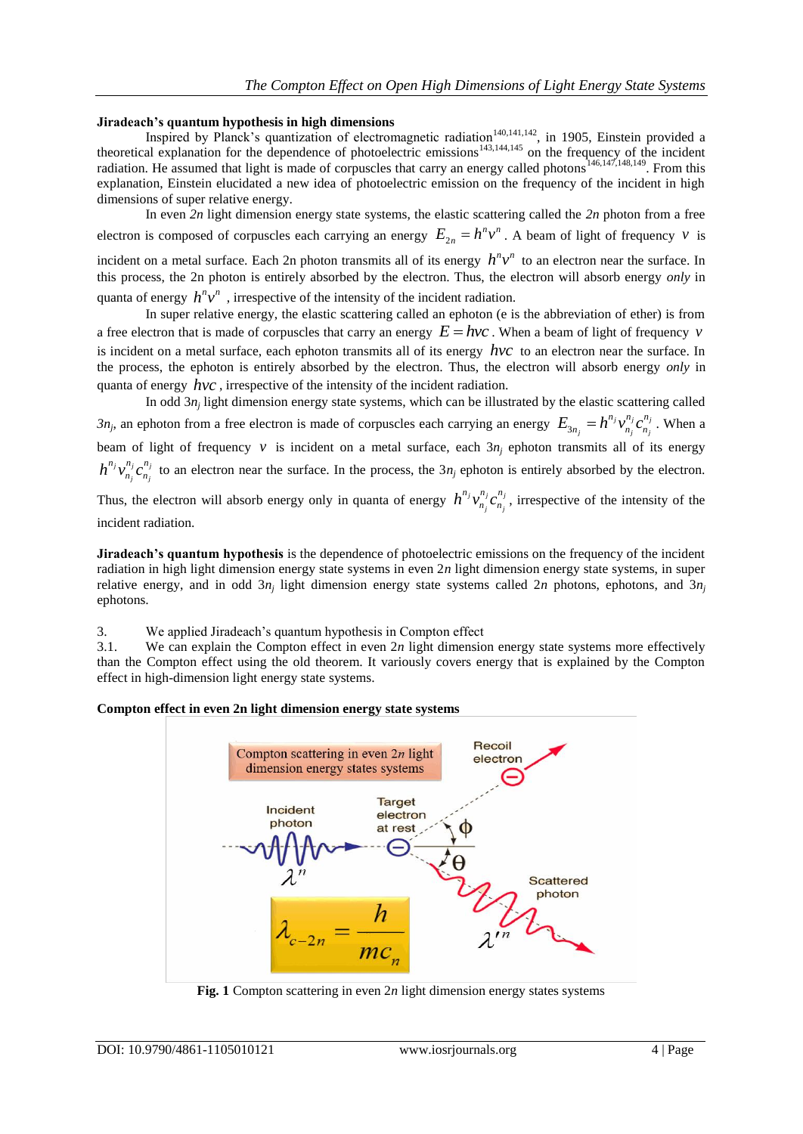# **Jiradeach's quantum hypothesis in high dimensions**

Inspired by Planck's quantization of electromagnetic radiation<sup>140,141,142</sup>, in 1905, Einstein provided a theoretical explanation for the dependence of photoelectric emissions $143,144,145$  on the frequency of the incident radiation. He assumed that light is made of corpuscles that carry an energy called photons<sup>146,147,148,149</sup>. From this explanation, Einstein elucidated a new idea of photoelectric emission on the frequency of the incident in high dimensions of super relative energy.

In even *2n* light dimension energy state systems, the elastic scattering called the *2n* photon from a free electron is composed of corpuscles each carrying an energy  $E_{2n} = h^n v^n$ . A beam of light of frequency v is

incident on a metal surface. Each 2n photon transmits all of its energy  $h^n v^n$  to an electron near the surface. In this process, the 2n photon is entirely absorbed by the electron. Thus, the electron will absorb energy *only* in quanta of energy  $h^n v^n$ , irrespective of the intensity of the incident radiation.

In super relative energy, the elastic scattering called an ephoton (e is the abbreviation of ether) is from a free electron that is made of corpuscles that carry an energy  $E = hvc$ . When a beam of light of frequency v is incident on a metal surface, each ephoton transmits all of its energy *hvc* to an electron near the surface. In the process, the ephoton is entirely absorbed by the electron. Thus, the electron will absorb energy *only* in quanta of energy *hvc* , irrespective of the intensity of the incident radiation.

In odd 3*n<sub>j</sub>* light dimension energy state systems, which can be illustrated by the elastic scattering called  $3n_j$ , an ephoton from a free electron is made of corpuscles each carrying an energy  $E_{3n_j} = h^{n_j} v_{n_j}^{n_j} c_{n_j}^{n_j}$  $E_{3n_j} = h^{n_j} v_{n_j}^{n_j} c_{n_j}^{n_j}$ . When a beam of light of frequency  $v$  is incident on a metal surface, each  $3n_j$  ephoton transmits all of its energy  $j$ **,** $\frac{n_j}{q}$ *j j*  $h^{n_j} v_{n_j}^{n_j} c_{n_j}^{n_j}$  to an electron near the surface. In the process, the 3*n<sub>j</sub>* ephoton is entirely absorbed by the electron.

Thus, the electron will absorb energy only in quanta of energy  $h^{n_j}v_n^{n_j}c_n^{n_j}$ *j j*  $h^{n_j} v_{n_i}^{n_j} c_{n_j}^{n_j}$ , irrespective of the intensity of the incident radiation.

**Jiradeach's quantum hypothesis** is the dependence of photoelectric emissions on the frequency of the incident radiation in high light dimension energy state systems in even 2*n* light dimension energy state systems, in super relative energy, and in odd 3*n<sup>j</sup>* light dimension energy state systems called 2*n* photons, ephotons, and 3*n<sup>j</sup>* ephotons.

3. We applied Jiradeach's quantum hypothesis in Compton effect

3.1. We can explain the Compton effect in even 2*n* light dimension energy state systems more effectively than the Compton effect using the old theorem. It variously covers energy that is explained by the Compton effect in high-dimension light energy state systems.

## **Compton effect in even 2n light dimension energy state systems**



**Fig. 1** Compton scattering in even 2*n* light dimension energy states systems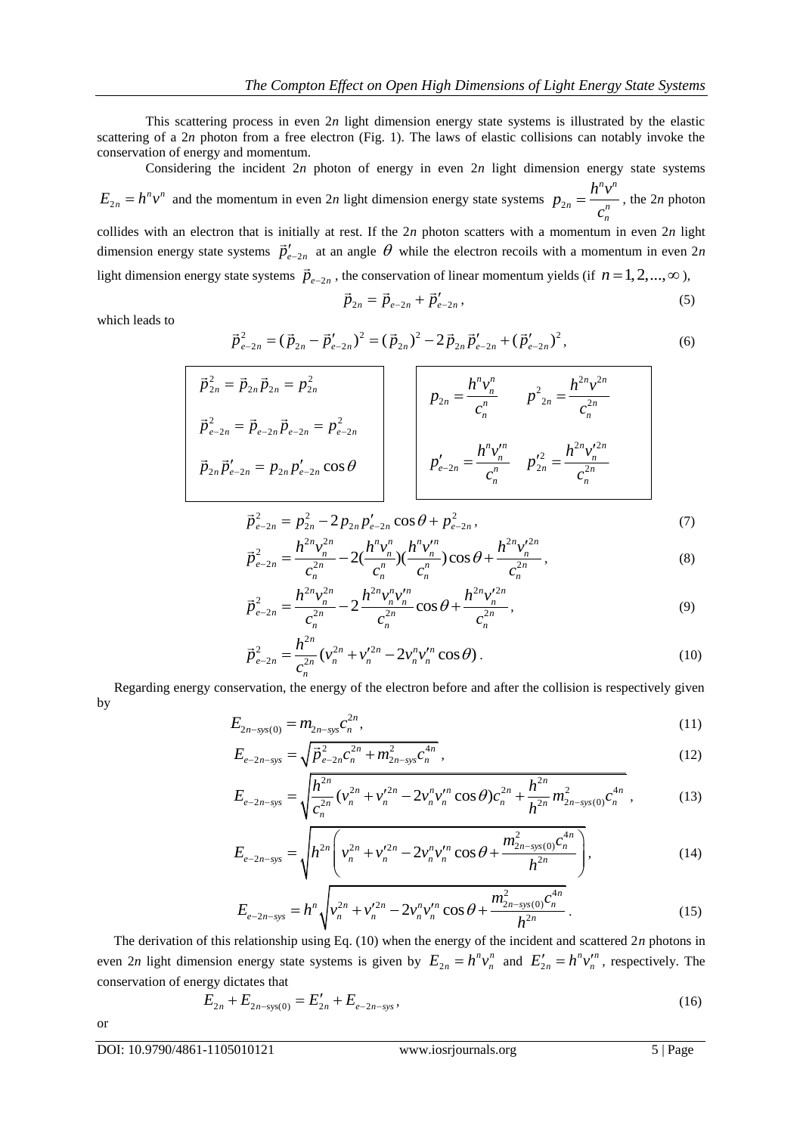This scattering process in even 2*n* light dimension energy state systems is illustrated by the elastic scattering of a 2*n* photon from a free electron (Fig. 1). The laws of elastic collisions can notably invoke the conservation of energy and momentum.

Considering the incident 2*n* photon of energy in even 2*n* light dimension energy state systems  $E_{2n} = h^n v^n$  and the momentum in even 2*n* light dimension energy state systems  $p_2$ *n n*  $n = \frac{a^n}{a^n}$ *n*  $p_{2n} = \frac{h^n v}{h}$ *c*  $=\frac{h^2 v}{r^2}$ , the 2*n* photon collides with an electron that is initially at rest. If the 2*n* photon scatters with a momentum in even 2*n* light dimension energy state systems  $\vec{p}'_{e-2n}$  at an angle  $\theta$  while the electron recoils with a momentum in even 2*n* 

light dimension energy state systems  $\vec{p}_{e-2n}$ , the conservation of linear momentum yields (if  $n = 1, 2, ..., \infty$ ),

$$
\vec{p}_{2n} = \vec{p}_{e-2n} + \vec{p}'_{e-2n},\tag{5}
$$

which leads to

$$
\vec{p}_{2n} = \vec{p}_{e-2n} + \vec{p}'_{e-2n},
$$
\n
$$
\vec{p}_{e-2n}^2 = (\vec{p}_{2n} - \vec{p}'_{e-2n})^2 = (\vec{p}_{2n})^2 - 2\vec{p}_{2n}\vec{p}'_{e-2n} + (\vec{p}'_{e-2n})^2,
$$
\n(6)

$$
\vec{p}_{2n}^2 = \vec{p}_{2n} \vec{p}_{2n} = p_{2n}^2
$$
\n
$$
\vec{p}_{e-2n}^2 = \vec{p}_{e-2n} \vec{p}_{e-2n} = p_{e-2n}^2
$$
\n
$$
\vec{p}_{2n} \vec{p}'_{e-2n} = p_{2n} p'_{e-2n} \cos \theta
$$
\n
$$
\vec{p}'_{e-2n} = \frac{h^n v_n^n}{c_n^n} \qquad p'^2_{2n} = \frac{h^{2n} v_n'^{2n}}{c_n^n}
$$

$$
\vec{p}_{e-2n}^2 = p_{2n}^2 - 2p_{2n}p_{e-2n}'\cos\theta + p_{e-2n}^2,
$$
\n(7)\n
$$
\vec{p}_e^2 = \frac{h^{2n}v_n^{2n}}{2} - 2(\frac{h^n v_n''}{2})(\frac{h^n v_n''}{2})\cos\theta + \frac{h^{2n}v_n'^{2n}}{2}.
$$
\n(8)

$$
p_{e-2n} = p_{2n} - 2p_{2n}p_{e-2n}\cos\theta + p_{e-2n},
$$
  
\n
$$
\vec{p}_{e-2n}^2 = \frac{h^{2n}v_n^{2n}}{c_n^{2n}} - 2(\frac{h^n v_n^n}{c_n^n})(\frac{h^n v_n^m}{c_n^n})\cos\theta + \frac{h^{2n}v_n^{2n}}{c_n^{2n}},
$$
  
\n
$$
\vec{p}_e^2 = -\frac{h^{2n}v_n^{2n}}{c_n^{2n}} - 2\frac{h^{2n}v_n^nv_n^m}{c_n^{2n}}\cos\theta + \frac{h^{2n}v_n^{2n}}{c_n^{2n}}.
$$
\n(8)

$$
\vec{p}_{e-2n}^2 = \frac{c_n^{2n}}{c_n^{2n}} - 2\frac{h^{2n}v_n^{2n}v_n^{2n}}{c_n^{2n}}\cos\theta + \frac{h^{2n}v_n^{2n}}{c_n^{2n}},
$$
\n(9)

$$
\vec{p}_{e-2n}^2 = \frac{h^{2n}}{c_n^{2n}} (v_n^{2n} + v_n'^{2n} - 2v_n^n v_n'^n \cos \theta).
$$
 (10)

 Regarding energy conservation, the energy of the electron before and after the collision is respectively given by

$$
E_{2n-sys(0)} = m_{2n-sys} c_n^{2n},
$$
\n(11)

$$
E_{e-2n-sys} = \sqrt{\vec{p}_{e-2n}^2 c_n^{2n} + m_{2n-sys}^2 c_n^{4n}},
$$
\n
$$
= \sqrt{h^{2n} c_n^{2n} + m_{2n-sys}^2 c_n^{4n}},
$$
\n(12)

$$
E_{e-2n-sys} = \sqrt{\vec{p}_{e-2n}^2 c_n^{2n} + m_{2n-sys}^2 c_n^{4n}},
$$
\n
$$
E_{e-2n-sys} = \sqrt{\frac{h_{e-2n}^{2n}}{c_n^{2n}} (\nu_n^{2n} + \nu_n'^{2n} - 2\nu_n^n \nu_n'^n \cos \theta) c_n^{2n} + \frac{h_{2n}^{2n}}{h_{2n}^{2n}} m_{2n-sys(0)}^2 c_n^{4n}},
$$
\n
$$
E_{e-2n-sys} = \sqrt{\frac{h_{e-2n}^{2n}}{c_n^{2n}} (\nu_n^{2n} + \nu_n'^{2n} - 2\nu_n^n \nu_n'^n \cos \theta + \frac{m_{2n-sys(0)}^2 c_n^{4n}}{c_n^{2n}}},
$$
\n
$$
(13)
$$

$$
E_{e-2n-sys} = \sqrt{\frac{c_n^{2n}}{v_n} (v_n + v_n - 2v_n v_n \cos \theta) c_n + \frac{h^{2n}}{h^{2n}} m_{2n-sys(0)} c_n},
$$
\n
$$
E_{e-2n-sys} = \sqrt{h^{2n} \left( v_n^{2n} + v_n'^{2n} - 2v_n' v_n'^n \cos \theta + \frac{m_{2n-sys(0)}^2 c_n^{4n}}{h^{2n}} \right)},
$$
\n
$$
E_{e-2n-sys} = \sqrt{h^{2n} \left( v_n^{2n} + v_n'^{2n} - 2v_n' v_n'^n \cos \theta + \frac{m_{2n-sys(0)}^2 c_n^{4n}}{h^{2n}} \right)},
$$
\n
$$
(14)
$$

$$
E_{e-2n-sys} = h^n \sqrt{v_n^{2n} + v_n'^{2n} - 2v_n^n v_n'^n \cos \theta + \frac{m_{2n-sys(0)}^2 c_n^{4n}}{h^{2n}}}.
$$
 (15)

 The derivation of this relationship using Eq. (10) when the energy of the incident and scattered 2*n* photons in even 2*n* light dimension energy state systems is given by  $E_{2n} = h^n v_n^n$  and  $E_{2n}' = h^n v_n^n$ , respectively. The conservation of energy dictates that

$$
E_{2n} + E_{2n-\text{sys}(0)} = E'_{2n} + E_{e-2n-\text{sys}},
$$
\n(16)

or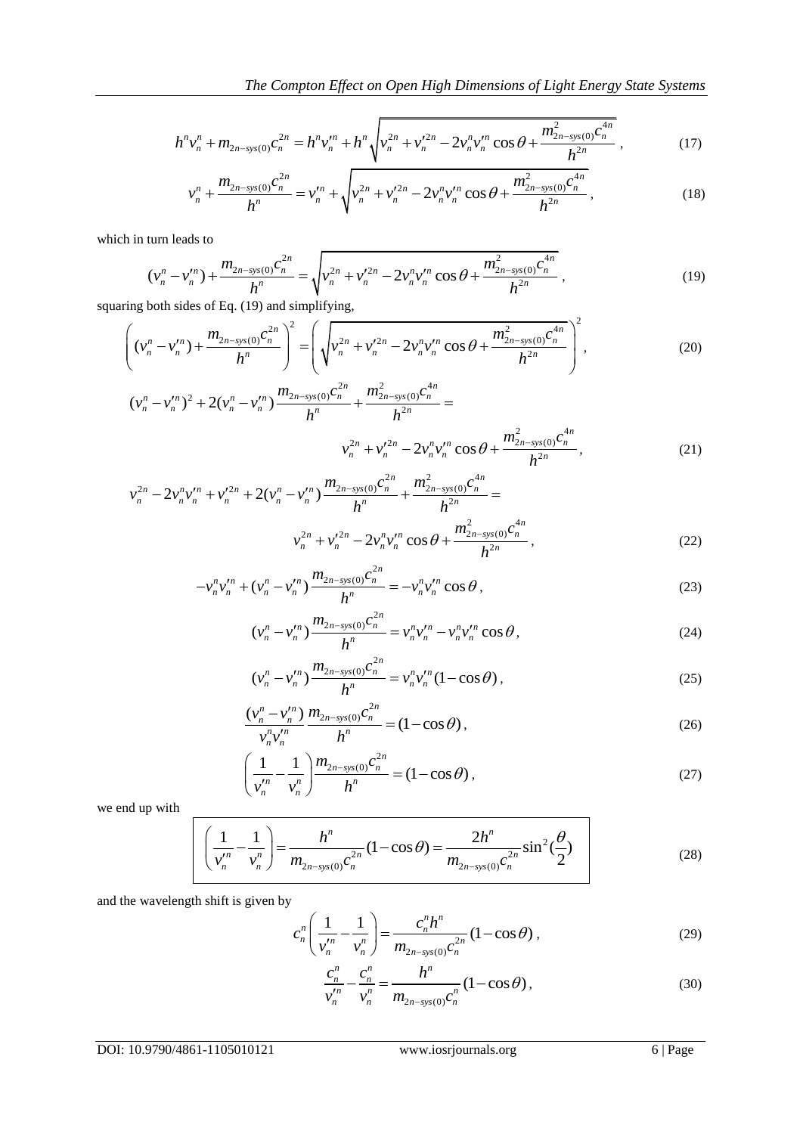The Compton Effect on Open High Dimensions of Light Energy State Systems  
\n
$$
h^{n}v_{n}^{n} + m_{2n-sys(0)}c_{n}^{2n} = h^{n}v_{n}^{m} + h^{n}\sqrt{v_{n}^{2n} + v_{n}^{2n} - 2v_{n}^{n}v_{n}^{m}\cos\theta + \frac{m_{2n-sys(0)}^{2}c_{n}^{4n}}{h^{2n}}},
$$
\n(17)  
\n
$$
v_{n}^{n} + \frac{m_{2n-sys(0)}c_{n}^{2n}}{h^{2n}} = v_{n}^{m} + \sqrt{v_{n}^{2n} + v_{n}^{2n} - 2v_{n}^{n}v_{n}^{m}\cos\theta + \frac{m_{2n-sys(0)}^{2}c_{n}^{4n}}{h^{2n}}},
$$
\n(18)

$$
v_n + m_{2n-sys(0)}c_n = n v_n + n \sqrt{v_n + v_n - 2v_n v_n \cos \theta + \frac{h^{2n}}{h^{2n}}},
$$
\n
$$
v_n^n + \frac{m_{2n-sys(0)}c_n^{2n}}{h^n} = v_n^m + \sqrt{v_n^{2n} + v_n^{'2n} - 2v_n^nv_n^{'n} \cos \theta + \frac{m_{2n-sys(0)}^2c_n^{4n}}{h^{2n}}},
$$
\n(18)

which in turn leads to

turn leads to  
\n
$$
(v_n^n - v_n^m) + \frac{m_{2n-\text{sys}(0)}c_n^{2n}}{h^n} = \sqrt{v_n^{2n} + v_n^{'2n} - 2v_n^n v_n'^n \cos \theta + \frac{m_{2n-\text{sys}(0)}^2 c_n^{4n}}{h^{2n}}},
$$
\n(19)

$$
(\nu_n^n - \nu_n^m) + \frac{2n \, \text{sgn}(y/n)}{h^n} = \sqrt{\nu_n^{2n} + \nu_n^{2n} - 2\nu_n^{2n}\nu_n^{2n}} \cos \theta + \frac{2n \, \text{sgn}(y/n)}{h^{2n}},
$$
\n(19)

\nsquaring both sides of Eq. (19) and simplifying,

\n
$$
\left((\nu_n^n - \nu_n^m) + \frac{m_{2n-\text{sys}(0)}c_n^{2n}}{h^n}\right)^2 = \left(\sqrt{\nu_n^{2n} + \nu_n^{'2n} - 2\nu_n^{n}\nu_n^{'}\cos \theta + \frac{m_{2n-\text{sys}(0)}^2c_n^{4n}}{h^{2n}}}\right)^2,
$$
\n
$$
(\nu_n^n - \nu_n^{n})^2 + 2(\nu_n^n - \nu_n^{n})\frac{m_{2n-\text{sys}(0)}c_n^{2n}}{h^{2n}+1} + \frac{m_{2n-\text{sys}(0)}^2c_n^{4n}}{h^{2n}} =
$$
\n(19)

$$
(v_n^n - v_n^m)^2 + 2(v_n^n - v_n^m) \frac{m_{2n - sys(0)}c_n^{2n}}{h^n} + \frac{m_{2n - sys(0)}^2c_n^{4n}}{h^{2n}} =
$$
  

$$
v_n^{2n} + v_n'^{2n} - 2v_n^n v_n'^n \cos \theta + \frac{m_{2n - sys(0)}^2c_n^{4n}}{h^{2n}},
$$
  

$$
v_n^{2n} - 2v^n v'^n + v'^{2n} + 2(v^n - v'^n) \frac{m_{2n - sys(0)}c_n^{2n}}{h^{2n}} + \frac{m_{2n - sys(0)}^2c_n^{4n}}{h^{2n}} =
$$
 (21)

$$
v_n^2 + v_n^2 - 2v_n^2 v_n^2 \cos \theta + \frac{h^{2n}}{h^{2n}},
$$
\n
$$
v_n^{2n} - 2v_n^2 v_n^{\prime n} + v_n^{\prime 2n} + 2(v_n^n - v_n^m) \frac{m_{2n-\text{sys}(0)} c_n^{2n}}{h^n} + \frac{m_{2n-\text{sys}(0)}^2 c_n^{4n}}{h^{2n}} =
$$
\n
$$
v_n^{2n} + v_n^{\prime 2n} - 2v_n^2 v_n^{\prime n} \cos \theta + \frac{m_{2n-\text{sys}(0)}^2 c_n^{4n}}{h^{2n}},
$$
\n
$$
-v_n^2 v_n^{\prime n} + (v_n^n - v_n^m) \frac{m_{2n-\text{sys}(0)} c_n^{2n}}{h^{2n}} = -v_n^2 v_n^{\prime n} \cos \theta
$$
\n(23)

$$
n
$$
  
\n
$$
-\nu_n^n \nu_n^m + (\nu_n^n - \nu_n^m) \frac{m_{2n - sys(0)} c_n^{2n}}{h^n} = -\nu_n^n \nu_n^m \cos \theta,
$$
  
\n
$$
(\nu_n^n - \nu_n^m) \frac{m_{2n - sys(0)} c_n^{2n}}{h^n} = -\nu_n^n \nu_n^m - \nu_n^n \nu_n^m \cos \theta
$$
  
\n(23)

$$
(\nu_n^n - \nu_n^r) \frac{m_{2n - sys(0)}c_n^{2n}}{h^n} = \nu_n^n \nu_n^r - \nu_n^n \nu_n^r \cos \theta,
$$
 (24)

$$
(v_n - v_n'') \frac{m_{2n - sys(0)}c_n^{2n}}{h^n} = v_n^n v_n'^n (1 - \cos \theta),
$$
 (25)

$$
\frac{(\nu_n^n - \nu_n^{\prime n})}{\nu_n^n \nu_n^{\prime n}} \frac{m_{2n\text{-sys}(0)} c_n^{2n}}{h^n} = (1 - \cos \theta),
$$
\n(26)

$$
\frac{v_n v_n}{v_n^{\prime n}} - \frac{n}{v_n^n} \frac{m_{2n - sys(0)} c_n^{2n}}{h^n} = (1 - \cos \theta),
$$
\n(27)

we end up with

$$
\left(\frac{1}{v_n^{n}} - \frac{1}{v_n^{n}}\right) = \frac{h^n}{m_{2n - sys(0)}c_n^{2n}}(1 - \cos\theta) = \frac{2h^n}{m_{2n - sys(0)}c_n^{2n}}\sin^2(\frac{\theta}{2})\tag{28}
$$

and the wavelength shift is given by

$$
c_n^n \left( \frac{1}{\nu_n^{'n}} - \frac{1}{\nu_n^n} \right) = \frac{c_n^n h^n}{m_{2n - sys(0)} c_n^{2n}} (1 - \cos \theta) ,
$$
 (29)

$$
\frac{c_n^n}{v_n^n} - \frac{c_n^n}{v_n^n} = \frac{h^n}{m_{2n - sys(0)}c_n^n} (1 - \cos \theta),
$$
\n(30)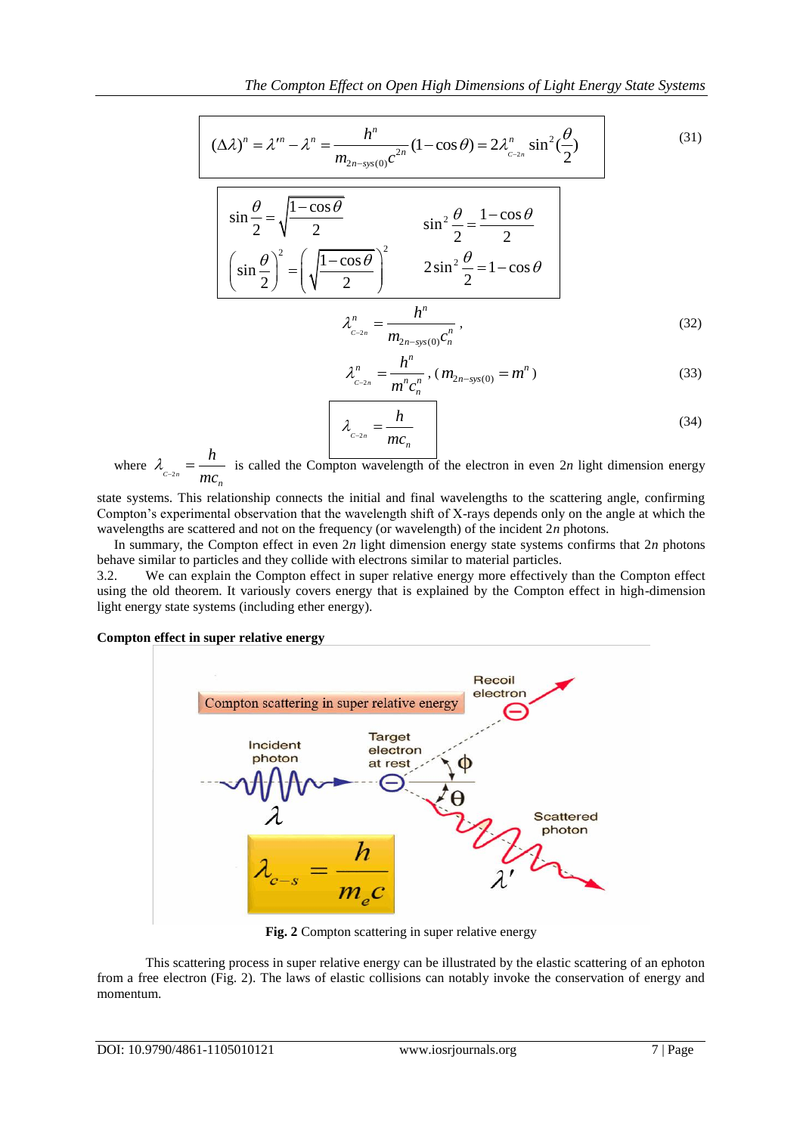$$
(\Delta \lambda)^n = \lambda^m - \lambda^n = \frac{h^n}{m_{2n-\text{sys}(0)}c^{2n}} (1 - \cos \theta) = 2\lambda_{c-2n}^n \sin^2(\frac{\theta}{2})
$$
(31)  

$$
\sin \frac{\theta}{2} = \sqrt{\frac{1 - \cos \theta}{2}}
$$

$$
\sin^2 \frac{\theta}{2} = \frac{1 - \cos \theta}{2}
$$

$$
\frac{\sin^2 2 \sqrt{2}}{\sin \frac{\theta}{2}} = \left(\sqrt{\frac{1-\cos\theta}{2}}\right)^2
$$
\n
$$
\frac{\sin^2 2\theta}{2} = 1-\cos\theta
$$
\n
$$
\lambda_{c_{2n}}^n = \frac{h^n}{m_{2n-\text{sys}(0)}c_n^n},
$$
\n(32)

$$
\lambda_{c_{-2n}}^n = \frac{h^n}{m^n c_n^n}, (m_{2n-sys(0)} = m^n)
$$
 (33)

$$
\frac{hc_n}{\lambda_{c^{-2n}} = \frac{h}{mc_n}}
$$
\n(34)

where  $\lambda_{c_{2n}} = \frac{m}{mc_n}$ *h*  $\lambda_{c_{2n}} = \frac{n}{mc_n}$  is called the Compton wavelength of the electron in even 2*n* light dimension energy

state systems. This relationship connects the initial and final wavelengths to the scattering angle, confirming Compton's experimental observation that the wavelength shift of X-rays depends only on the angle at which the wavelengths are scattered and not on the frequency (or wavelength) of the incident 2*n* photons.

 In summary, the Compton effect in even 2*n* light dimension energy state systems confirms that 2*n* photons behave similar to particles and they collide with electrons similar to material particles.

3.2. We can explain the Compton effect in super relative energy more effectively than the Compton effect using the old theorem. It variously covers energy that is explained by the Compton effect in high-dimension light energy state systems (including ether energy).

## **Compton effect in super relative energy**



**Fig. 2** Compton scattering in super relative energy

This scattering process in super relative energy can be illustrated by the elastic scattering of an ephoton from a free electron (Fig. 2). The laws of elastic collisions can notably invoke the conservation of energy and momentum.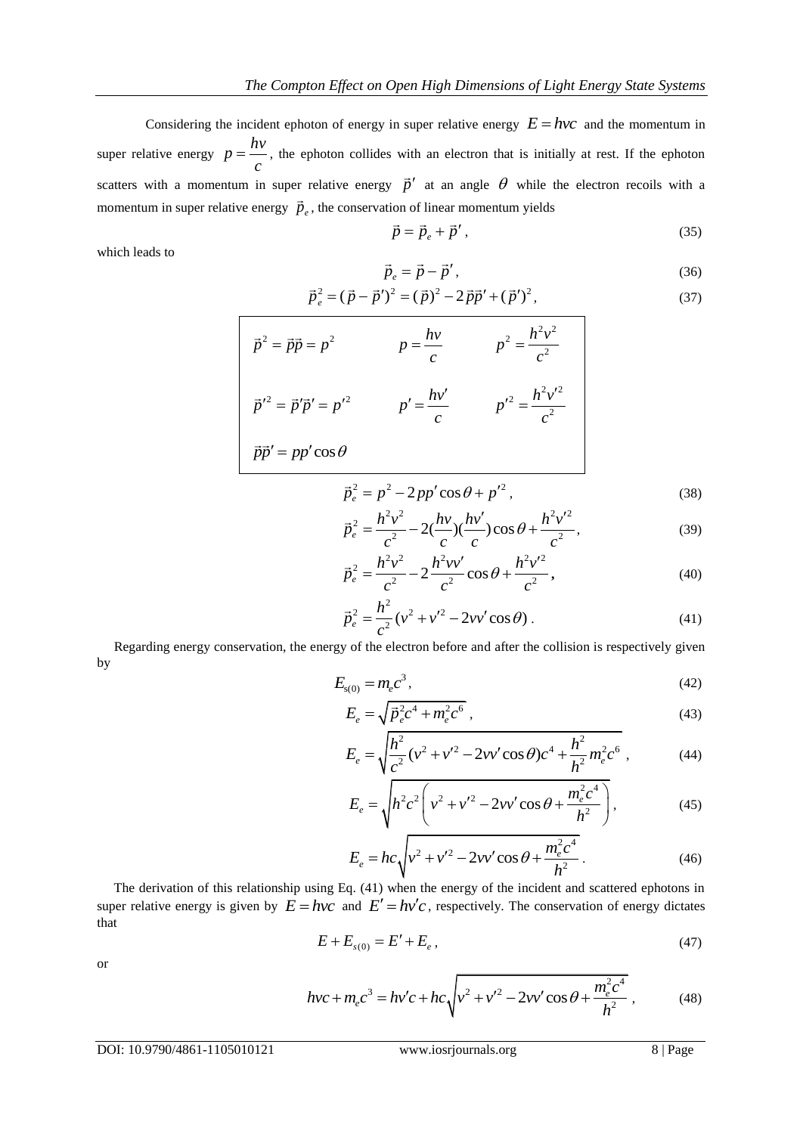Considering the incident ephoton of energy in super relative energy  $E = hvc$  and the momentum in super relative energy  $p = \frac{hv}{m}$ *c*  $=\frac{W}{W}$ , the ephoton collides with an electron that is initially at rest. If the ephoton scatters with a momentum in super relative energy  $\vec{p}'$  at an angle  $\theta$  while the electron recoils with a momentum in super relative energy  $\vec{p}_e$ , the conservation of linear momentum yields

$$
\vec{p} = \vec{p}_e + \vec{p}'\,,\tag{35}
$$

which leads to

 $\overline{1}$ 

$$
\vec{p}_e = \vec{p} - \vec{p}',\tag{36}
$$

$$
\vec{p}_e = \vec{p} - \vec{p}',
$$
\n(36)  
\n
$$
\vec{p}_e^2 = (\vec{p} - \vec{p}')^2 = (\vec{p})^2 - 2\vec{p}\vec{p}' + (\vec{p}')^2,
$$
\n(37)

$$
\vec{p}^2 = \vec{p}\vec{p} = p^2 \qquad p = \frac{hv}{c} \qquad p^2 = \frac{h^2v^2}{c^2}
$$

$$
\vec{p}'^2 = \vec{p}'\vec{p}' = p'^2 \qquad p' = \frac{hv'}{c} \qquad p'^2 = \frac{h^2v'^2}{c^2}
$$

$$
\vec{p}\vec{p}' = pp'\cos\theta
$$

$$
\vec{p}_e^2 = p^2 - 2pp'\cos\theta + p'^2,
$$
\n
$$
\vec{p}^2 = \frac{h^2v^2}{2} - 2\frac{hv}{2}\frac{hv'}{2}.
$$
\n(38)

$$
\vec{p}_e^2 = \frac{h^2 v^2}{c^2} - 2(\frac{hv}{c})(\frac{hv'}{c})\cos\theta + \frac{h^2 v'^2}{c^2},
$$
\n(39)

$$
\vec{p}_e^2 = \frac{h^2 v^2}{c^2} - 2\frac{h^2 v v'}{c^2} \cos\theta + \frac{h^2 v'^2}{c^2},
$$
\n(40)

$$
\vec{p}_e^2 = \frac{h^2}{c^2} (v^2 + v'^2 - 2vv'\cos\theta).
$$
 (41)

 Regarding energy conservation, the energy of the electron before and after the collision is respectively given by

$$
E_{s(0)} = m_e c^3,
$$
\t(42)

$$
E_e = \sqrt{\vec{p}_e^2 c^4 + m_e^2 c^6} \,, \tag{43}
$$

$$
E_e = \sqrt{p_e^2 c^2 + m_e^2 c^0},
$$
\n
$$
E_e = \sqrt{\frac{h^2}{c^2} (v^2 + v'^2 - 2vv' \cos \theta) c^4 + \frac{h^2}{h^2} m_e^2 c^6},
$$
\n(44)

$$
E_e = \sqrt{h^2 c^2 \left(v^2 + v'^2 - 2vv'\cos\theta + \frac{m_e^2 c^4}{h^2}\right)},
$$
(45)

$$
E_e = hc \sqrt{v^2 + v'^2 - 2vv' \cos \theta + \frac{m_e^2 c^4}{h^2}}.
$$
 (46)

 The derivation of this relationship using Eq. (41) when the energy of the incident and scattered ephotons in super relative energy is given by  $E = hvc$  and  $E' = hv'c$ , respectively. The conservation of energy dictates that

$$
E + E_{s(0)} = E' + E_e \,,\tag{47}
$$

or

$$
hvc + m_ec^3 = hv'c + hc\sqrt{v^2 + v'^2 - 2vv'\cos\theta + \frac{m_e^2c^4}{h^2}},
$$
(48)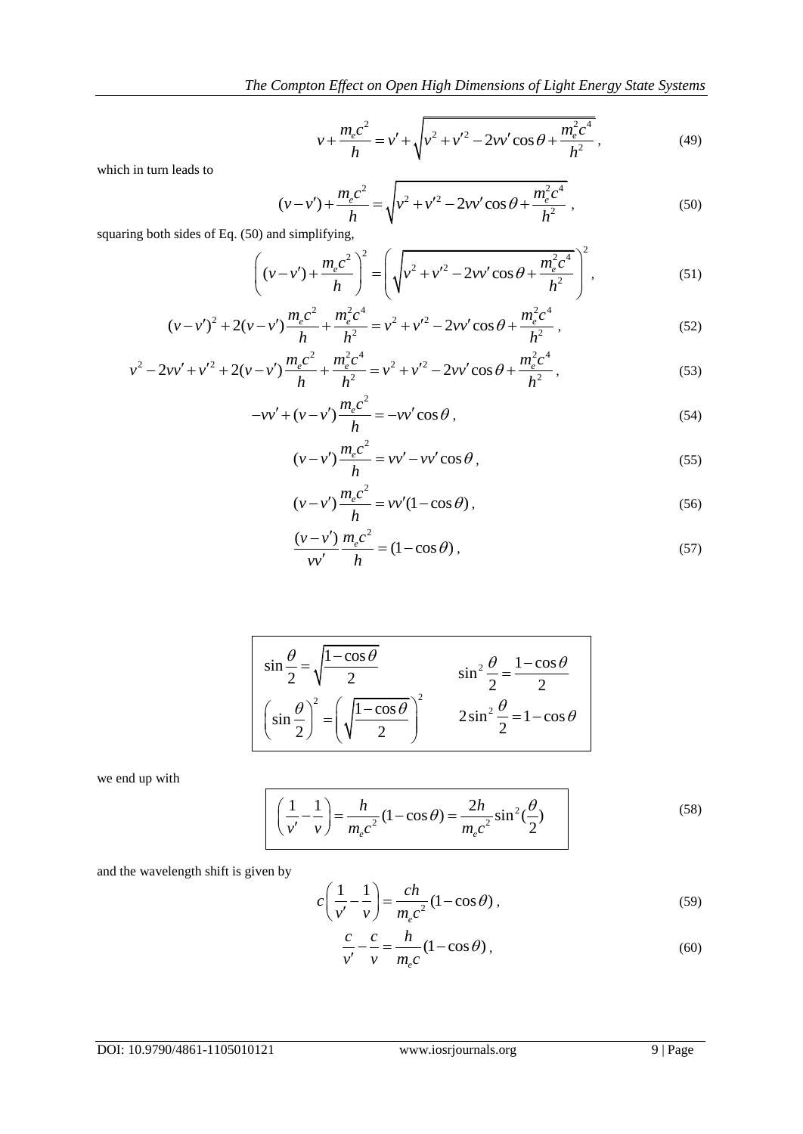$$
v + \frac{m_e c^2}{h} = v' + \sqrt{v^2 + v'^2 - 2vv'\cos\theta + \frac{m_e^2 c^4}{h^2}},
$$
\n(49)

which in turn leads to

$$
(v-v') + \frac{m_e c^2}{h} = \sqrt{v^2 + v'^2 - 2vv'\cos\theta + \frac{m_e^2 c^4}{h^2}},
$$
\nand simplifying,

\n(50)

squaring both sides of Eq. (50) and simplifying,

0) and simplifying,  
\n
$$
\left( (v - v') + \frac{m_e c^2}{h} \right)^2 = \left( \sqrt{v^2 + v'^2 - 2vv' \cos \theta + \frac{m_e^2 c^4}{h^2}} \right)^2,
$$
\n
$$
m_e c^2 = m_e^2 c^4
$$
\n(51)

$$
\left( (v-v') + \frac{m_e c}{h} \right) = \left( \sqrt{v^2 + v'^2 - 2vv' \cos \theta + \frac{m_e c^2}{h^2}} \right),
$$
\n
$$
(v-v')^2 + 2(v-v') \frac{m_e c^2}{h} + \frac{m_e^2 c^4}{h^2} = v^2 + v'^2 - 2vv' \cos \theta + \frac{m_e^2 c^4}{h^2},
$$
\n
$$
v = v^2 - 2(v-v) \frac{m_e c^2}{h} - \frac{m_e^2 c^4}{h^2},
$$
\n(52)

$$
(v-v')^{2} + 2(v-v')\frac{m_{e}c^{2}}{h} + \frac{m_{e}^{2}c^{4}}{h^{2}} = v^{2} + v'^{2} - 2vv' \cos \theta + \frac{m_{e}^{2}c^{4}}{h^{2}},
$$
\n
$$
v^{2} - 2vv' + v'^{2} + 2(v-v')\frac{m_{e}c^{2}}{h} + \frac{m_{e}^{2}c^{4}}{h^{2}} = v^{2} + v'^{2} - 2vv' \cos \theta + \frac{m_{e}^{2}c^{4}}{h^{2}},
$$
\n(53)

$$
n \t n
$$
  
-
$$
-vv' + (v - v')\frac{m_e c^2}{h} = -vv' \cos \theta,
$$
 (54)

$$
(v - v')\frac{m_e c^2}{h} = v v' - v v' \cos \theta, \qquad (55)
$$

$$
(\nu - \nu')\frac{m_e c^2}{h} = \nu \nu'(1 - \cos \theta),
$$
\n(56)

$$
\frac{(v - v')}{vv'} \frac{m_e c^2}{h} = (1 - \cos \theta),
$$
\n(57)

$$
\sin\frac{\theta}{2} = \sqrt{\frac{1-\cos\theta}{2}}
$$
\n
$$
\sin^2\frac{\theta}{2} = \frac{1-\cos\theta}{2}
$$
\n
$$
\left(\sin\frac{\theta}{2}\right)^2 = \left(\sqrt{\frac{1-\cos\theta}{2}}\right)^2
$$
\n
$$
2\sin^2\frac{\theta}{2} = 1-\cos\theta
$$

we end up with

$$
\left(\frac{1}{v'} - \frac{1}{v}\right) = \frac{h}{m_e c^2} (1 - \cos \theta) = \frac{2h}{m_e c^2} \sin^2(\frac{\theta}{2})
$$
\n(58)

and the wavelength shift is given by

$$
c\left(\frac{1}{v'} - \frac{1}{v}\right) = \frac{ch}{m_e c^2} (1 - \cos \theta),\tag{59}
$$

$$
\frac{c}{v'} - \frac{c}{v} = \frac{h}{m_e c} (1 - \cos \theta),\tag{60}
$$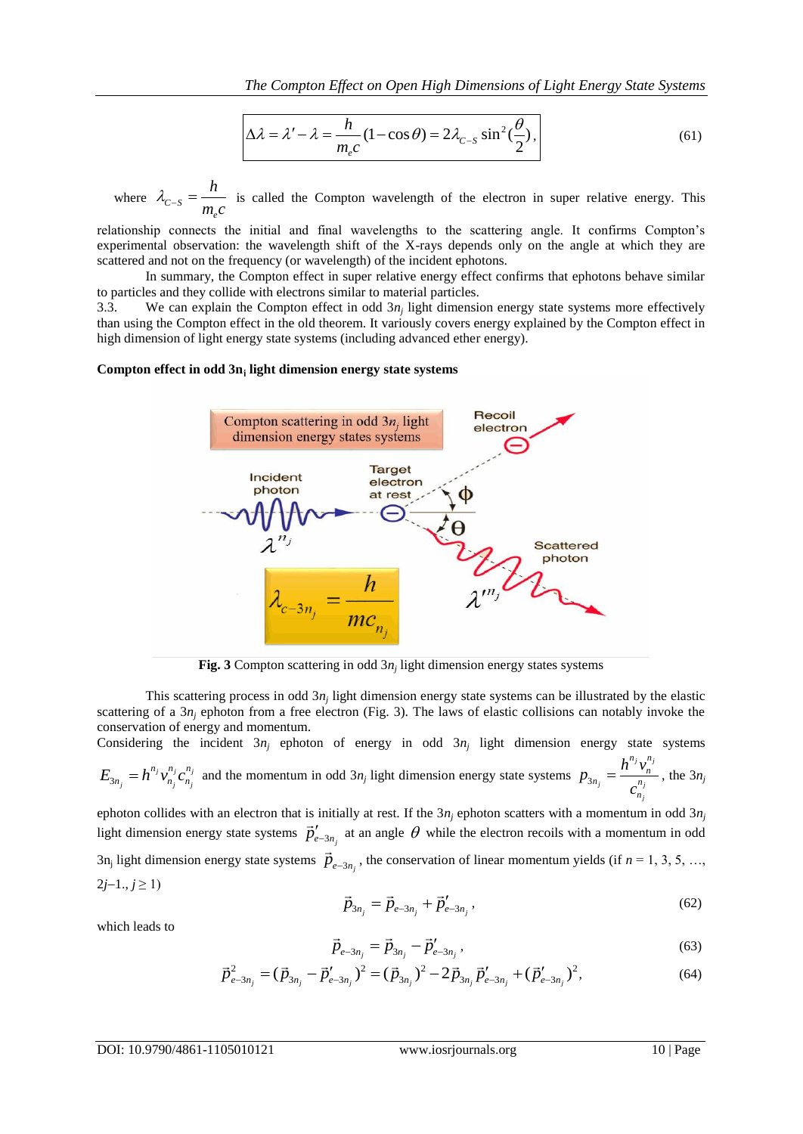$$
\Delta \lambda = \lambda' - \lambda = \frac{h}{m_e c} (1 - \cos \theta) = 2\lambda_{c-s} \sin^2(\frac{\theta}{2}),
$$
\n(61)

where  $\lambda_{C-S}$ *e h*  $\lambda_{C-S} = \frac{n}{m_c c}$  is called the Compton wavelength of the electron in super relative energy. This

relationship connects the initial and final wavelengths to the scattering angle. It confirms Compton's experimental observation: the wavelength shift of the X-rays depends only on the angle at which they are scattered and not on the frequency (or wavelength) of the incident ephotons.

In summary, the Compton effect in super relative energy effect confirms that ephotons behave similar to particles and they collide with electrons similar to material particles.

3.3. We can explain the Compton effect in odd 3*n<sup>j</sup>* light dimension energy state systems more effectively than using the Compton effect in the old theorem. It variously covers energy explained by the Compton effect in high dimension of light energy state systems (including advanced ether energy).

#### **Compton effect in odd 3n<sup>j</sup> light dimension energy state systems**



**Fig. 3** Compton scattering in odd  $3n_j$  light dimension energy states systems

This scattering process in odd  $3n_j$  light dimension energy state systems can be illustrated by the elastic scattering of a 3*n<sub>j</sub>* ephoton from a free electron (Fig. 3). The laws of elastic collisions can notably invoke the conservation of energy and momentum.

Considering the incident  $3n_j$  ephoton of energy in odd  $3n_j$  light dimension energy state systems

$$
E_{3n_j} = h^{n_j} v_{n_j}^{n_j} c_{n_j}^{n_j}
$$
 and the momentum in odd 3n<sub>j</sub> light dimension energy state systems  $p_{3n_j} = \frac{h^{n_j} v_n^{n_j}}{c_{n_j}^{n_j}}$ , the 3n<sub>j</sub>

ephoton collides with an electron that is initially at rest. If the  $3n_j$  ephoton scatters with a momentum in odd  $3n_j$ ephoton comices with an electron that is initially at rest. If the *sn<sub>j</sub>* ephoton scatters with a momentum in odd *sn<sub>j</sub>* light dimension energy state systems  $\vec{p}'_{e-3n_j}$  at an angle  $\theta$  while the electron recoils wi  $3n_j$  light dimension energy state systems  $\vec{p}_{e-3n_j}$ , the conservation of linear momentum yields (if  $n = 1, 3, 5, ...$ ,  $2j-1, j \ge 1$  $\vec{r}$   $-\vec{r}$   $\vec{r}'$ 

$$
\vec{p}_{3n_j} = \vec{p}_{e-3n_j} + \vec{p}'_{e-3n_j},
$$
\n(62)

which leads to

$$
\vec{p}_{e-3n_j} = \vec{p}_{3n_j} - \vec{p}'_{e-3n_j},
$$
\n(63)

$$
\vec{p}_{e-3n_j} = \vec{p}_{3n_j} - \vec{p}'_{e-3n_j},
$$
\n
$$
\vec{p}_{e-3n_j}^2 = (\vec{p}_{3n_j} - \vec{p}'_{e-3n_j})^2 = (\vec{p}_{3n_j})^2 - 2\vec{p}_{3n_j}\vec{p}'_{e-3n_j} + (\vec{p}'_{e-3n_j})^2,
$$
\n(64)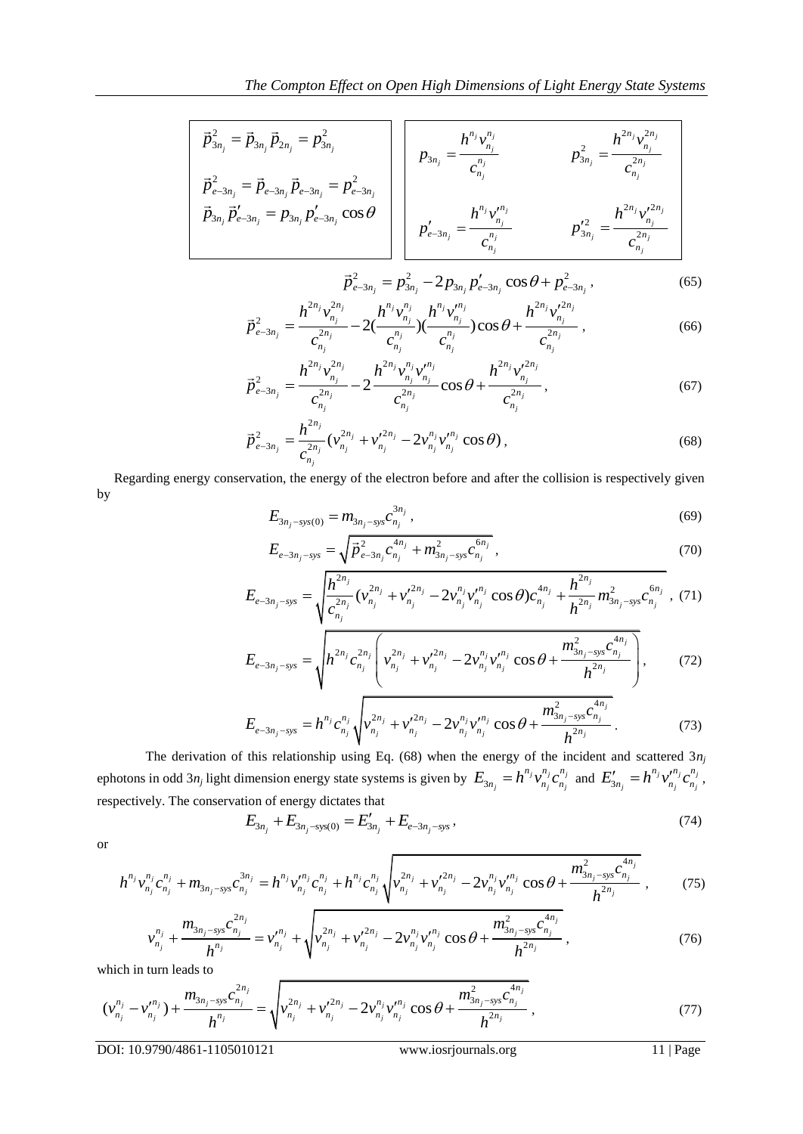$$
\vec{p}_{3n_j}^2 = \vec{p}_{3n_j} \vec{p}_{2n_j} = p_{3n_j}^2
$$
\n
$$
\vec{p}_{e-3n_j}^2 = \vec{p}_{e-3n_j} \vec{p}_{e-3n_j} = p_{e-3n_j}^2
$$
\n
$$
\vec{p}_{3n_j} = \frac{h^{n_j} v_{n_j}^{n_j}}{c_{n_j}^{n_j}}
$$
\n
$$
\vec{p}_{3n_j} \vec{p}_{e-3n_j} = p_{3n_j} p_{e-3n_j}^2 \cos \theta
$$
\n
$$
p_{e-3n_j}^2 = \frac{h^{n_j} v_{n_j}^{n_j}}{c_{n_j}^{n_j}}
$$
\n
$$
p_{2n_j}^2 = \frac{h^{2n_j} v_{n_j}^{2n_j}}{c_{n_j}^{2n_j}}
$$
\n
$$
p_{3n_j}^2 = \frac{h^{2n_j} v_{n_j}^{2n_j}}{c_{n_j}^{2n_j}}
$$

$$
\vec{p}_{e-3n_j}^2 = p_{3n_j}^2 - 2p_{3n_j}p_{e-3n_j}^{\prime}\cos\theta + p_{e-3n_j}^2,
$$
\n(65)\n
$$
h^{2n_j}v_{n_j}^{2n_j} - 2(\frac{h^{n_j}v_{n_j}^{n_j}}{h^{2n_j}v_{n_j}^{2n_j}})COS\theta + \frac{h^{2n_j}v_{n_j}^{2n_j}}{h^{2n_j}v_{n_j}^{2n_j}}
$$
\n(66)

$$
P_{e-3n_j} - P_{3n_j} - P_{2n_j} - Q_{2n_j} - Q_{3n_j} - Q_{3n_j} - Q_{3n_j} - Q_{3n_j} - Q_{3n_j} - Q_{3n_j} - Q_{3n_j} - Q_{3n_j} - Q_{3n_j} - Q_{3n_j} - Q_{3n_j} - Q_{3n_j} - Q_{3n_j} - Q_{3n_j} - Q_{3n_j} - Q_{3n_j} - Q_{3n_j} - Q_{3n_j} - Q_{3n_j} - Q_{3n_j} - Q_{3n_j} - Q_{3n_j} - Q_{3n_j} - Q_{3n_j} - Q_{3n_j} - Q_{3n_j} - Q_{3n_j} - Q_{3n_j} - Q_{3n_j} - Q_{3n_j} - Q_{3n_j} - Q_{3n_j} - Q_{3n_j} - Q_{3n_j} - Q_{3n_j} - Q_{3n_j} - Q_{3n_j} - Q_{3n_j} - Q_{3n_j} - Q_{3n_j} - Q_{3n_j} - Q_{3n_j} - Q_{3n_j} - Q_{3n_j} - Q_{3n_j} - Q_{3n_j} - Q_{3n_j} - Q_{3n_j} - Q_{3n_j} - Q_{3n_j} - Q_{3n_j} - Q_{3n_j} - Q_{3n_j} - Q_{3n_j} - Q_{3n_j} - Q_{3n_j} - Q_{3n_j} - Q_{3n_j} - Q_{3n_j} - Q_{3n_j} - Q_{3n_j} - Q_{3n_j} - Q_{3n_j} - Q_{3n_j} - Q_{3n_j} - Q_{3n_j} - Q_{3n_j} - Q_{3n_j} - Q_{3n_j} - Q_{3n_j} - Q_{3n_j} - Q_{3n_j} - Q_{3n_j} - Q_{3n_j} - Q_{3n_j} - Q_{3n_j} - Q_{3n_j} - Q_{3n_j} - Q_{3n_j} - Q_{3n_j} - Q_{3n_j} - Q_{3n_j} - Q_{3n_j} - Q_{3n_j} - Q_{3n_j} - Q_{3n_j} - Q_{3n_j} - Q_{3n_j} - Q_{3n_j} - Q_{3n_j} - Q_{3n_j} - Q_{3n_j} - Q_{3n_j} - Q_{3n_j} - Q_{3n_j} - Q_{3n_j} - Q_{3n_j} - Q_{3n_j} - Q_{3n_j} - Q_{3n_j} - Q_{3n_j} - Q_{3n_j} - Q_{3n_j} - Q_{3n_j} - Q
$$

$$
\vec{p}_{e-3n_j}^2 = \frac{h^{2n_j} v_{n_j}^{2n_j}}{c_{n_j}^{2n_j}} - 2 \frac{h^{2n_j} v_{n_j}^{n_j} v_{n_j}^{n_j}}{c_{n_j}^{2n_j}} \cos \theta + \frac{h^{2n_j} v_{n_j}^{2n_j}}{c_{n_j}^{2n_j}},
$$
(67)

$$
\vec{p}_{e-3n_j}^2 = \frac{h^{2n_j}}{c_{n_j}^{2n_j}} (v_{n_j}^{2n_j} + v_{n_j}^{\prime 2n_j} - 2v_{n_j}^{n_j} v_{n_j}^{\prime n_j} \cos \theta),
$$
\n(68)

 Regarding energy conservation, the energy of the electron before and after the collision is respectively given by

$$
E_{3n_j - sys(0)} = m_{3n_j - sys} c_{n_j}^{3n_j},
$$
\n(69)

$$
E_{e-3n_j-sys} = \sqrt{\vec{p}_{e-3n_j}^2 c_{n_j}^{4n_j} + m_{3n_j-sys}^2 c_{n_j}^{6n_j}},
$$
\n
$$
\sqrt{\vec{h}_{e-3n_j}^{2n_j} c_{n_j}^{4n_j} + m_{3n_j-sys}^2 c_{n_j}^{6n_j}},
$$
\n(70)

$$
E_{e-3n_j-sys} = \sqrt{\vec{p}_{e-3n_j}^2 c_{n_j}^{4n_j} + m_{3n_j-sys}^2 c_{n_j}^{6n_j}},
$$
\n
$$
E_{e-3n_j-sys} = \sqrt{\frac{h^{2n_j}}{c_{n_j}^{2n_j}} (v_{n_j}^{2n_j} + v_{n_j}^{2n_j} - 2v_{n_j}^{n_j} v_{n_j}^{n_j} \cos \theta) c_{n_j}^{4n_j} + \frac{h^{2n_j}}{h^{2n_j}} m_{3n_j-sys}^2 c_{n_j}^{6n_j}},
$$
\n
$$
E_{e-3n_j-sys} = \sqrt{\frac{h^{2n_j}}{c_{n_j}^{2n_j}} (v_{n_j}^{2n_j} + v_{n_j}^{2n_j} - 2v_{n_j}^{n_j} v_{n_j}^{n_j} \cos \theta) c_{n_j}^{4n_j} + \frac{h^{2n_j}}{h^{2n_j}} m_{3n_j-sys}^2 c_{n_j}^{4n_j}}.
$$
\n
$$
E_{e-3n_j-sys} = \sqrt{\frac{h^{2n_j} c_{n_j}^{2n_j}}{h^{2n_j} c_{n_j}^{2n_j}} \left( v_{n_j}^{2n_j} + v_{n_j}^{2n_j} - 2v_{n_j}^{n_j} v_{n_j}^{n_j} \cos \theta + \frac{m_{3n_j-sys}^2 c_{n_j}^{4n_j}}{h^{2n_j} c_{n_j}^{2n_j}} \right)}
$$
\n(72)

$$
E_{e-3n_j-sys} = \sqrt{h^{2n_j} c_{n_j}^{2n_j} \left( v_{n_j}^{2n_j} + v_{n_j}^{2n_j} - 2v_{n_j}^{n_j} v_{n_j}^{m_j} \cos \theta + \frac{m_{3n_j-sys}^2 c_{n_j}^{4n_j}}{h^{2n_j}} \right)},
$$
(72)  

$$
E_{e-3n_j-sys} = h^{n_j} c_{n_j}^{n_j} \sqrt{v_{n_j}^{2n_j} + v_{n_j}^{2n_j} - 2v_{n_j}^{n_j} v_{n_j}^{m_j} \cos \theta + \frac{m_{3n_j-sys}^2 c_{n_j}^{4n_j}}{h^{2n_j}}}
$$
(73)

$$
V \t\t V
$$
  
\n
$$
E_{e-3n_j-sys} = h^{n_j} c_{n_j}^{n_j} \sqrt{v_{n_j}^{2n_j} + v_{n_j}^{2n_j} - 2v_{n_j}^{n_j} v_{n_j}^{n_j} \cos \theta + \frac{m_{3n_j-sys}^2 c_{n_j}^{4n_j}}{h^{2n_j}}}.
$$
 (73)

The derivation of this relationship using Eq. (68) when the energy of the incident and scattered  $3n_j$ ephotons in odd 3*n<sub>j</sub>* light dimension energy state systems is given by  $E_{3n_i} = h^{n_j} v_{n_i}^{n_j} c_{n_i}^{n_j}$  $E_{3n_j} = h^{n_j} v_{n_j}^{n_j} c_{n_j}^{n_j}$  and  $E'_{3n_j} = h^{n_j} v_{n_j}^{n_j} c_{n_j}^{n_j}$  $E'_{3n_j} = h^{n_j} v'^{n_j}_{n_j} c^{n_j}_{n_j},$ respectively. The conservation of energy dictates that<br>  $E_{3n_j} + E_{3n_j\text{-sys(0)}} = E'_{3n_j} + E_{e-3n_j\text{-sys}}$ , (74)

$$
E_{3n_j} + E_{3n_j - sys(0)} = E'_{3n_j} + E_{e-3n_j - sys},
$$
\n(74)

or

$$
E_{3n_j} + E_{3n_j - sys(0)} = E'_{3n_j} + E_{e-3n_j - sys},
$$
\n
$$
h^{n_j} v_{n_j}^{n_j} c_{n_j}^{n_j} + m_{3n_j - sys} c_{n_j}^{3n_j} = h^{n_j} v_{n_j}^{n_j} c_{n_j}^{n_j} + h^{n_j} c_{n_j}^{n_j} \sqrt{v_{n_j}^{2n_j} + v_{n_j}^{'2n_j} - 2v_{n_j}^{n_j} v_{n_j}^{n_j} \cos \theta + \frac{m_{3n_j - sys}^2 c_{n_j}^{4n_j}}{h^{2n_j}}},
$$
\n
$$
v^{n_j} + \frac{m_{3n_j - sys} c_{n_j}^{2n_j}}{h^{2n_j}} = v^{n_j} + \sqrt{v_{n_j}^{2n_j} + v_{n_j}^{'2n_j} - 2v_{n_j}^{n_j} v_{n_j}^{n_j} \cos \theta + \frac{m_{3n_j - sys}^2 c_{n_j}^{4n_j}}{h^{2n_j}}}. \tag{76}
$$

$$
n_{ij}C_{n_{ij}} + m_{3n_{j} - sys}C_{n_{j}} - n_{j}C_{n_{j}} + n_{j}C_{n_{j}}\sqrt{v_{n_{j}} + v_{n_{j}} - 2v_{n_{j}}v_{n_{j}}}
$$
\n
$$
v_{n_{j}}^{n_{j}} + \frac{m_{3n_{j} - sys}C_{n_{j}}^{2n_{j}}}{h^{n_{j}}} = v_{n_{j}}^{n_{j}} + \sqrt{v_{n_{j}}^{2n_{j}} + v_{n_{j}}^{2n_{j}} - 2v_{n_{j}}^{n_{j}}v_{n_{j}}^{n_{j}}}
$$
\n
$$
\cos \theta + \frac{m_{3n_{j} - sys}^{2}C_{n_{j}}^{4n_{j}}}{h^{2n_{j}}},
$$
\n(76)

which in turn leads to

which in turn leads to  
\n
$$
(v_{n_j}^{n_j} - v_{n_j}^{n_j}) + \frac{m_{3n_j - sys}c_{n_j}^{2n_j}}{h^{n_j}} = \sqrt{v_{n_j}^{2n_j} + v_{n_j}^{2n_j} - 2v_{n_j}^{n_j}v_{n_j}^{n_j} \cos\theta + \frac{m_{3n_j - sys}^2c_{n_j}^{4n_j}}{h^{2n_j}}},
$$
\n(77)

DOI: 10.9790/4861-1105010121 www.iosrjournals.org 11 | Page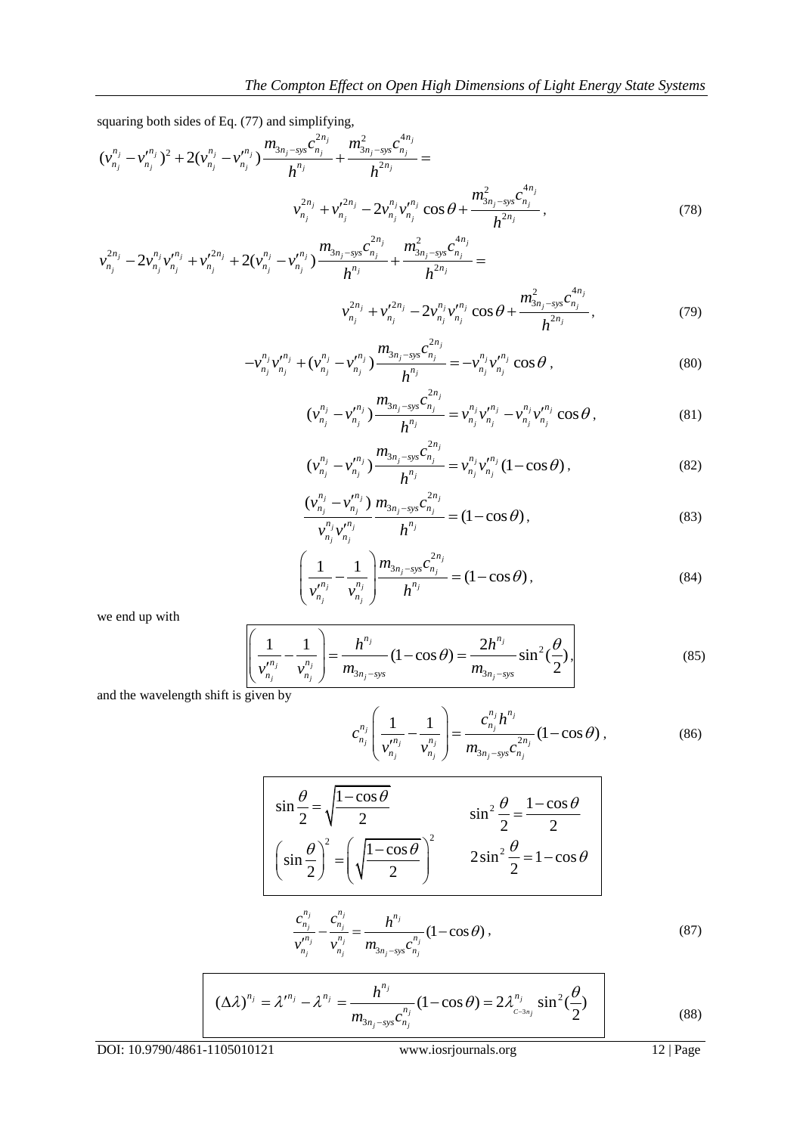squaring both sides of Eq. (77) and simplifying,

\n
$$
(v_{n_j}^{n_j} - v_{n_j}^{\prime n_j})^2 + 2(v_{n_j}^{n_j} - v_{n_j}^{\prime n_j}) \frac{m_{3n_j - sys} c_{n_j}^{2n_j}}{h^{n_j}} + \frac{m_{3n_j - sys}^2 c_{n_j}^{4n_j}}{h^{2n_j}} =
$$
\n
$$
v_{n_j}^{2n_j} + v_{n_j}^{\prime 2n_j} - 2v_{n_j}^{n_j} v_{n_j}^{\prime n_j} \cos \theta + \frac{m_{3n_j - sys}^2 c_{n_j}^{4n_j}}{h^{2n_j}},
$$
\n
$$
v_{n_j}^{2n_j} - 2v_{n_j}^{n_j} v_{n_j}^{\prime n_j} + v_{n_j}^{\prime 2n_j} + 2(v_{n_j}^{n_j} - v_{n_j}^{\prime n_j}) \frac{m_{3n_j - sys} c_{n_j}^{2n_j}}{h^{n_j}} + \frac{m_{3n_j - sys}^2 c_{n_j}^{4n_j}}{h^{2n_j}} =
$$
\n
$$
(78)
$$

$$
v_{n_j}^{2n_j} - 2v_{n_j}^{n_j}v_{n_j}^{"n_j} + v_{n_j}^{'2n_j} + 2(v_{n_j}^{n_j} - v_{n_j}^{"n_j})\frac{m_{3n_j - sys}c_{n_j}^{2n_j}}{h^{n_j}} + \frac{m_{3n_j - sys}^2c_{n_j}^{4n_j}}{h^{2n_j}} =
$$
  

$$
v_{n_j}^{2n_j} + v_{n_j}^{'2n_j} - 2v_{n_j}^{n_j}v_{n_j}^{"n_j} \cos\theta + \frac{m_{3n_j - sys}^2c_{n_j}^{4n_j}}{h^{2n_j}},
$$
(79)

$$
V_{n_j} + V_{n_j} = 2V_{n_j}V_{n_j} + \cos\theta + \frac{h^{2n_j}}{h^{2n_j}},
$$
\n
$$
-V_{n_j}^{n_j}V_{n_j}^{n_j} + (V_{n_j}^{n_j} - V_{n_j}^{n_j})\frac{m_{3n_j - sys}c_{n_j}^{2n_j}}{h^{n_j}} = -V_{n_j}^{n_j}V_{n_j}^{n_j} \cos\theta,
$$
\n(80)

$$
\left(v_{n_j}^{n_j} - v_{n_j}^{n_j}\right) \frac{h^{n_j}}{h^{n_j}} = \left(v_{n_j}^{n_j} v_{n_j} \cos \theta\right),
$$
\n
$$
\left(v_{n_j}^{n_j} - v_{n_j}^{n_j}\right) \frac{m_{3n_j - sys} c_{n_j}^{2n_j}}{h^{n_j}} = v_{n_j}^{n_j} v_{n_j}^{n_j} - v_{n_j}^{n_j} v_{n_j}^{n_j} \cos \theta,
$$
\n(81)

$$
(v_{n_j}^{n_j} - v_{n_j}^{\prime n_j}) \frac{m_{3n_j - sys}c_{n_j}^{2n_j}}{h^n} = v_{n_j}^{n_j}v_{n_j}^{\prime n_j} (1 - \cos\theta),
$$
\n(82)

$$
\frac{(v_{n_j}^{n_j} - v_{n_j}^{n_j})}{v_{n_j}^{n_j} v_{n_j}^{n_j}} \frac{m_{3n_j - sys} c_{n_j}^{2n_j}}{h^n} = (1 - \cos \theta),
$$
\n(83)

$$
\left(\frac{1}{v_{n_j}^{n_j}} - \frac{1}{v_{n_j}^{n_j}}\right) \frac{m_{3n_j - sys} c_{n_j}^{2n_j}}{h^{n_j}} = (1 - \cos \theta),
$$
\n(84)

we end up with

$$
\left(\frac{1}{v_{n_j}^{n_j}} - \frac{1}{v_{n_j}^{n_j}}\right) = \frac{h^{n_j}}{m_{3n_j - sys}} \left(1 - \cos\theta\right) = \frac{2h^{n_j}}{m_{3n_j - sys}} \sin^2\left(\frac{\theta}{2}\right),\tag{85}
$$

and the wavelength shift is given by

$$
c_{n_j}^{n_j} \left( \frac{1}{\nu_{n_j}^{n_j}} - \frac{1}{\nu_{n_j}^{n_j}} \right) = \frac{c_{n_j}^{n_j} h^{n_j}}{m_{3n_j - sys} c_{n_j}^{2n_j}} (1 - \cos \theta), \qquad (86)
$$

$$
\begin{vmatrix}\n\sin\frac{\theta}{2} = \sqrt{\frac{1-\cos\theta}{2}} & \sin^2\frac{\theta}{2} = \frac{1-\cos\theta}{2} \\
\sin\frac{\theta}{2} = \left(\sqrt{\frac{1-\cos\theta}{2}}\right)^2 & 2\sin^2\frac{\theta}{2} = 1-\cos\theta\n\end{vmatrix}
$$

$$
\frac{c_{n_j}^{n_j}}{v_{n_j}^{n_j}} - \frac{c_{n_j}^{n_j}}{v_{n_j}^{n_j}} = \frac{h^{n_j}}{m_{3n_j - sys}c_{n_j}^{n_j}} (1 - \cos \theta),
$$
\n(87)

$$
(\Delta \lambda)^{n_j} = \lambda'^{n_j} - \lambda^{n_j} = \frac{h^{n_j}}{m_{3n_j - sys} c_{n_j}^{n_j}} (1 - \cos \theta) = 2\lambda^{n_j} \sin^2(\frac{\theta}{2})
$$
(88)

DOI: 10.9790/4861-1105010121 www.iosrjournals.org 12 | Page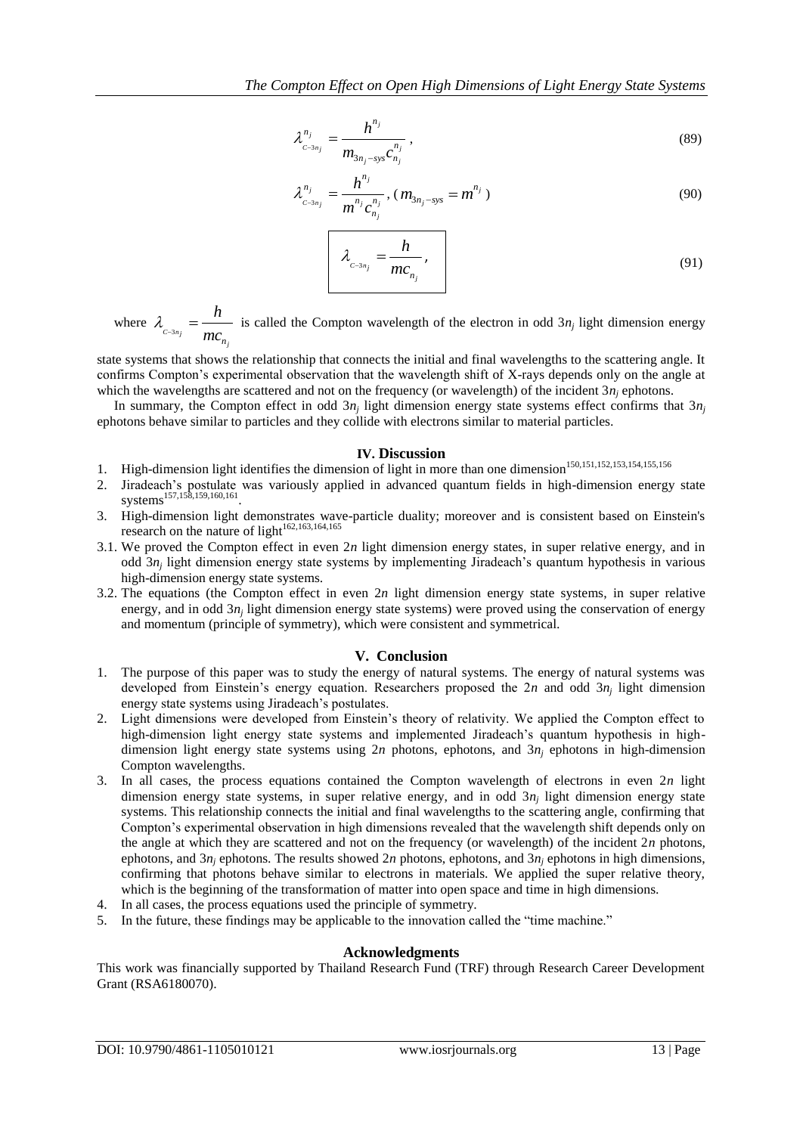$$
\lambda_{c^{-3n_j}}^{n_j} = \frac{h^{n_j}}{m_{3n_j - sys}c_{n_j}^{n_j}},
$$
\n(89)

$$
\lambda_{c^{-3n_j}}^{n_j} = \frac{h^{n_j}}{m^{n_j} c_{n_j}^{n_j}}, (m_{3n_j - sys} = m^{n_j})
$$
\n(90)

$$
\lambda_{c^{-3n_j}} = \frac{h}{mc_{n_j}},
$$
\n(91)

where  $\lambda_{c=3n_j}$ *j n h mc*  $\lambda_{c=3n_i} = \frac{n}{m_i}$  is called the Compton wavelength of the electron in odd 3*n<sub>j</sub>* light dimension energy

state systems that shows the relationship that connects the initial and final wavelengths to the scattering angle. It confirms Compton's experimental observation that the wavelength shift of X-rays depends only on the angle at which the wavelengths are scattered and not on the frequency (or wavelength) of the incident  $3n_i$  ephotons.

In summary, the Compton effect in odd  $3n_j$  light dimension energy state systems effect confirms that  $3n_j$ ephotons behave similar to particles and they collide with electrons similar to material particles.

## **IV. Discussion**

- 1. High-dimension light identifies the dimension of light in more than one dimension<sup>150,151,152,153,154,155,156</sup>
- 2. Jiradeach's postulate was variously applied in advanced quantum fields in high-dimension energy state systems<sup>157,158,159,160,161</sup>.
- 3. High-dimension light demonstrates wave-particle duality; moreover and is consistent based on Einstein's research on the nature of light $162,163,164,165$
- 3.1. We proved the Compton effect in even 2*n* light dimension energy states, in super relative energy, and in odd 3*n<sup>j</sup>* light dimension energy state systems by implementing Jiradeach's quantum hypothesis in various high-dimension energy state systems.
- 3.2. The equations (the Compton effect in even 2*n* light dimension energy state systems, in super relative energy, and in odd 3*n<sub>j</sub>* light dimension energy state systems) were proved using the conservation of energy and momentum (principle of symmetry), which were consistent and symmetrical.

# **V. Conclusion**

- 1. The purpose of this paper was to study the energy of natural systems. The energy of natural systems was developed from Einstein's energy equation. Researchers proposed the 2*n* and odd 3*n<sup>j</sup>* light dimension energy state systems using Jiradeach's postulates.
- 2. Light dimensions were developed from Einstein's theory of relativity. We applied the Compton effect to high-dimension light energy state systems and implemented Jiradeach's quantum hypothesis in highdimension light energy state systems using 2*n* photons, ephotons, and 3*n<sup>j</sup>* ephotons in high-dimension Compton wavelengths.
- 3. In all cases, the process equations contained the Compton wavelength of electrons in even 2*n* light dimension energy state systems, in super relative energy, and in odd  $3n_j$  light dimension energy state systems. This relationship connects the initial and final wavelengths to the scattering angle, confirming that Compton's experimental observation in high dimensions revealed that the wavelength shift depends only on the angle at which they are scattered and not on the frequency (or wavelength) of the incident 2*n* photons, ephotons, and  $3n_i$  ephotons. The results showed  $2n$  photons, ephotons, and  $3n_i$  ephotons in high dimensions, confirming that photons behave similar to electrons in materials. We applied the super relative theory, which is the beginning of the transformation of matter into open space and time in high dimensions.
- 4. In all cases, the process equations used the principle of symmetry.
- 5. In the future, these findings may be applicable to the innovation called the "time machine."

# **Acknowledgments**

This work was financially supported by Thailand Research Fund (TRF) through Research Career Development Grant (RSA6180070).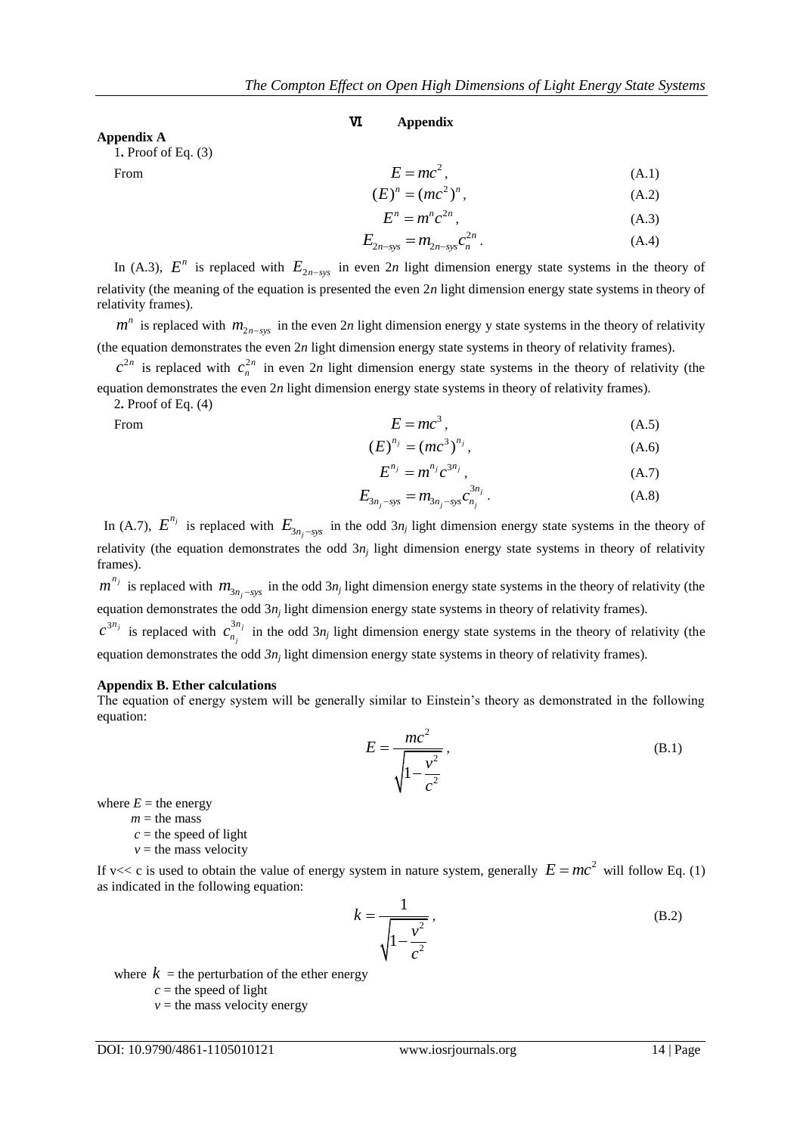#### **Appendix A**

1**.** Proof of Eq. (3)

From

$$
E = mc2,(E)n = (mc2)n, \t(A.1)
$$

$$
F^n - m^n c^{2n}
$$
\n(A.2)\n
$$
(A.3)
$$

$$
E = mc, \qquad (A.3)
$$
\n
$$
F = mc, \qquad c^{2n} \qquad (A.4)
$$

$$
E_{2n-\text{sys}} = m_{2n-\text{sys}} c_n^{2n} \,. \tag{A.4}
$$

In (A.3),  $E^n$  is replaced with  $E_{2n-sys}$  in even 2*n* light dimension energy state systems in the theory of relativity (the meaning of the equation is presented the even 2*n* light dimension energy state systems in theory of relativity frames).

Ⅵ**. Appendix**

 $m^n$  is replaced with  $m_{2n-sys}$  in the even 2*n* light dimension energy y state systems in the theory of relativity (the equation demonstrates the even 2*n* light dimension energy state systems in theory of relativity frames).

 $c^{2n}$  is replaced with  $c_n^{2n}$  $c_n^{2n}$  in even 2*n* light dimension energy state systems in the theory of relativity (the equation demonstrates the even 2*n* light dimension energy state systems in theory of relativity frames).

2**.** Proof of Eq. (4)

From

$$
E = mc^3, \tag{A.5}
$$

$$
(E)^{n_j} = (mc^3)^{n_j}, \t\t(A.6)
$$

$$
E^{n_j} = m^{n_j} c^{3n_j}, \qquad (A.7)
$$

$$
E_{3n_j-sys} = m_{3n_j-sys} c_{n_j}^{3n_j} .
$$
 (A.8)

In (A.7),  $E^{n_j}$  is replaced with  $E_{3n_j-sys}$  in the odd 3*n<sub>j</sub>* light dimension energy state systems in the theory of relativity (the equation demonstrates the odd 3*n<sup>j</sup>* light dimension energy state systems in theory of relativity frames).

 $m^{n_j}$  is replaced with  $m_{3n_j-sys}$  in the odd  $3n_j$  light dimension energy state systems in the theory of relativity (the equation demonstrates the odd 3*n<sub>j</sub>* light dimension energy state systems in theory of relativity frames).

 $c^{3n_j}$  is replaced with  $c_n^{3n_j}$ *j n*  $c_{n_i}^{3n_j}$  in the odd  $3n_j$  light dimension energy state systems in the theory of relativity (the equation demonstrates the odd  $3n_j$  light dimension energy state systems in theory of relativity frames).

#### **Appendix B. Ether calculations**

The equation of energy system will be generally similar to Einstein's theory as demonstrated in the following equation:

$$
E = \frac{mc^2}{\sqrt{1 - \frac{v^2}{c^2}}},
$$
 (B.1)

where  $E =$  the energy

 $m =$  the mass

 $c$  = the speed of light

 $v =$  the mass velocity

If v<< c is used to obtain the value of energy system in nature system, generally  $E = mc^2$  will follow Eq. (1) as indicated in the following equation:

$$
k = \frac{1}{\sqrt{1 - \frac{v^2}{c^2}}},
$$
(B.2)

where  $k =$  the perturbation of the ether energy

 $c$  = the speed of light

 $v =$  the mass velocity energy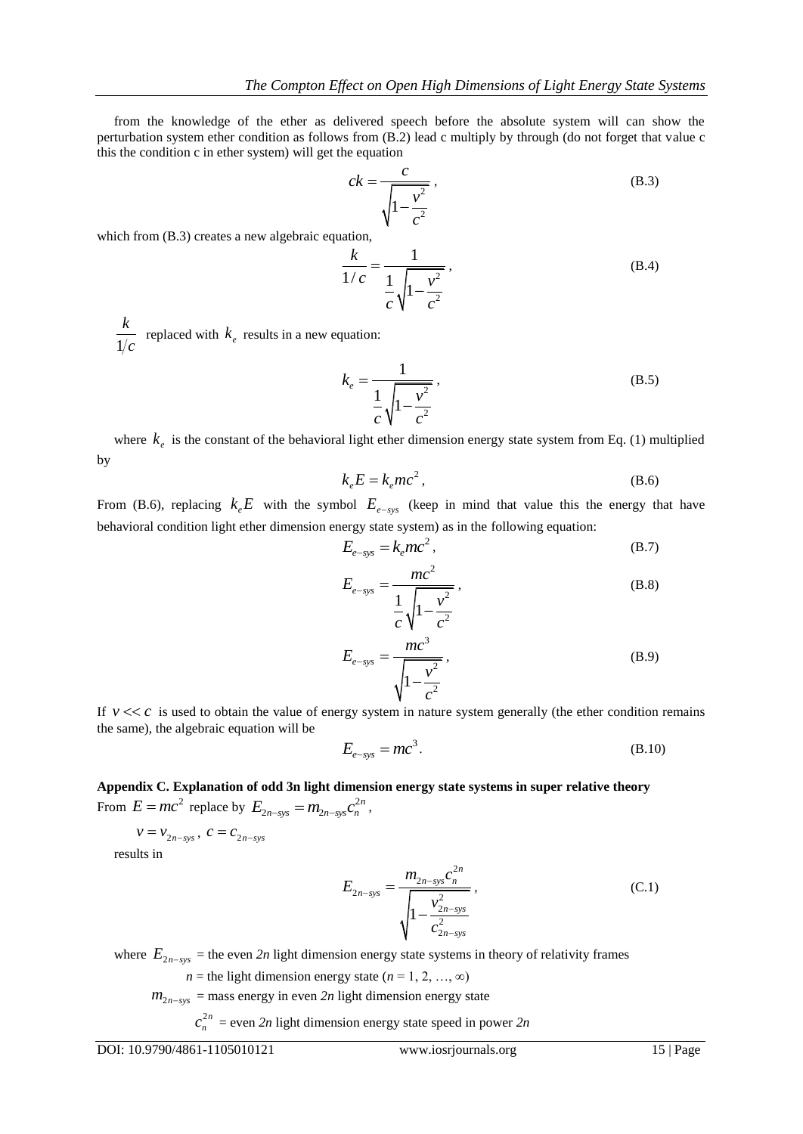from the knowledge of the ether as delivered speech before the absolute system will can show the perturbation system ether condition as follows from (B.2) lead c multiply by through (do not forget that value c this the condition c in ether system) will get the equation

$$
ck = \frac{c}{\sqrt{1 - \frac{v^2}{c^2}}},
$$
\n(B.3)

which from  $(B.3)$  creates a new algebraic equation,

$$
\frac{k}{1/c} = \frac{1}{\frac{1}{c} \sqrt{1 - \frac{v^2}{c^2}}},
$$
(B.4)

1 *k* replaced with  $k_e$  results in a new equation:

$$
k_e = \frac{1}{\frac{1}{c} \sqrt{1 - \frac{v^2}{c^2}}},
$$
\n(B.5)

where  $k_e$  is the constant of the behavioral light ether dimension energy state system from Eq. (1) multiplied by

$$
k_e E = k_e mc^2, \tag{B.6}
$$

From (B.6), replacing  $k_e E$  with the symbol  $E_{e-sys}$  (keep in mind that value this the energy that have behavioral condition light ether dimension energy state system) as in the following equation:

$$
E_{e-sys} = k_e mc^2, \qquad (B.7)
$$

$$
E_{e\text{-sys}} = \frac{mc^2}{\frac{1}{c}\sqrt{1 - \frac{v^2}{c^2}}},
$$
(B.8)

$$
E_{e-sys} = \frac{mc^3}{\sqrt{1 - \frac{v^2}{c^2}}},
$$
\n(B.9)

If  $\nu \ll c$  is used to obtain the value of energy system in nature system generally (the ether condition remains the same), the algebraic equation will be

$$
E_{e\text{-sys}} = mc^3. \tag{B.10}
$$

**Appendix C. Explanation of odd 3n light dimension energy state systems in super relative theory** From  $E = mc^2$  replace by  $E_{2n-sys} = m_{2n-sys} c_n^{2n}$ ,

$$
v = v_{2n-sys}, \ c = c_{2n-sys}
$$

results in

$$
E_{2n-sys} = \frac{m_{2n-sys}c_n^{2n}}{\sqrt{1 - \frac{v_{2n-sys}^2}{c_{2n-sys}^2}}},
$$
\n(C.1)

where  $E_{2n-sys}$  = the even 2n light dimension energy state systems in theory of relativity frames

*n* = the light dimension energy state ( $n = 1, 2, ..., \infty$ )

 $m_{2n-sys}$  = mass energy in even 2n light dimension energy state

2*n*  $c_n^{2n}$  = even 2*n* light dimension energy state speed in power 2*n*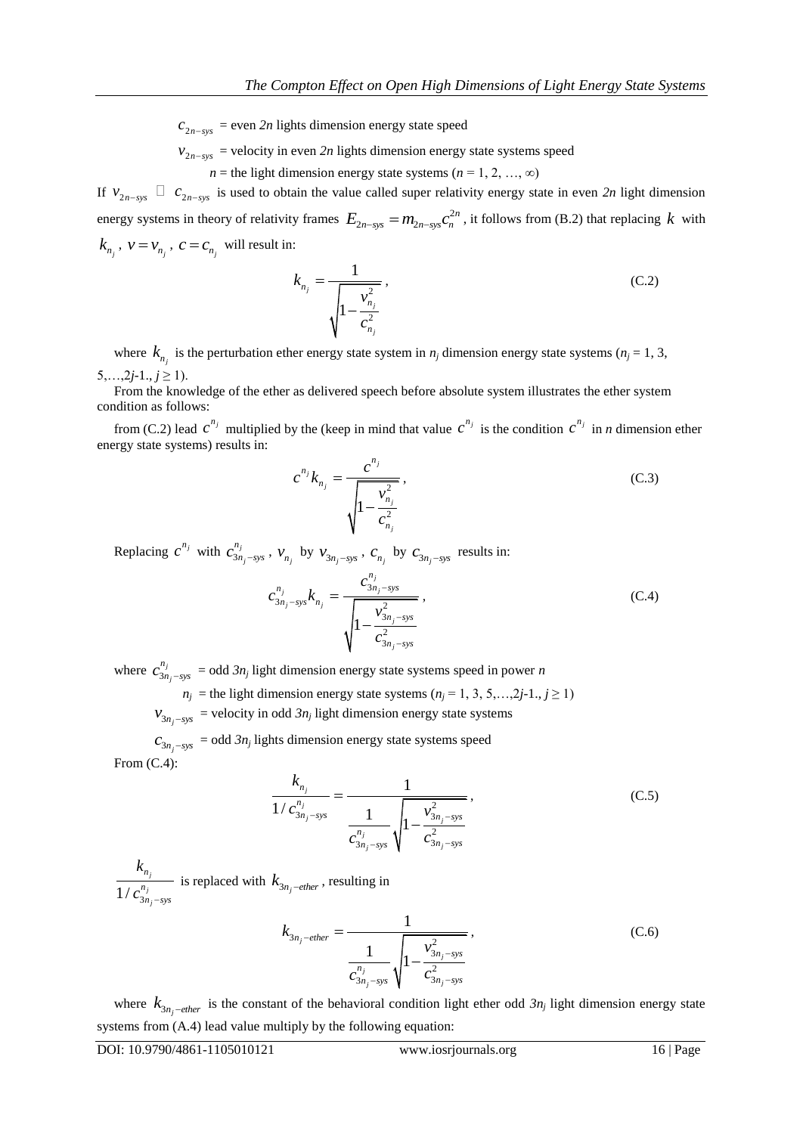$c_{2n-sys}$  = even 2n lights dimension energy state speed

 $v_{2n-sys}$  = velocity in even 2n lights dimension energy state systems speed

*n* = the light dimension energy state systems ( $n = 1, 2, ..., \infty$ )

If  $v_{2n-sys}$   $\Box$   $c_{2n-sys}$  is used to obtain the value called super relativity energy state in even 2n light dimension energy systems in theory of relativity frames  $E_{2n-sys} = m_{2n-sys} c_n^{2n}$ , it follows from (B.2) that replacing k with  $k_{n_j}$ ,  $v = v_{n_j}$ ,  $c = c_{n_j}$  will result in:

$$
k_{n_j} = \frac{1}{\sqrt{1 - \frac{v_{n_j}^2}{c_{n_j}^2}}},
$$
\n(C.2)

where  $k_{n_j}$  is the perturbation ether energy state system in  $n_j$  dimension energy state systems ( $n_j = 1, 3$ , 5,...,2*j*-1., $j \ge 1$ ).

 From the knowledge of the ether as delivered speech before absolute system illustrates the ether system condition as follows:

from (C.2) lead  $c^{n_j}$  multiplied by the (keep in mind that value  $c^{n_j}$  is the condition  $c^{n_j}$  in *n* dimension ether energy state systems) results in:

$$
c^{n_j}k_{n_j} = \frac{c^{n_j}}{\sqrt{1 - \frac{v_{n_j}^2}{c_{n_j}^2}}},
$$
\n(C.3)

Replacing  $c^{n_j}$  with  $c^{n_j}_{3n}$ *j n*  $c_{3n_j-sys}^{n_j}$ ,  $v_{n_j}$  by  $v_{3n_j-sys}$ ,  $c_{n_j}$  by  $c_{3n_j-sys}$  results in:

$$
c_{3n_j-sys}^{n_j} k_{n_j} = \frac{c_{3n_j-sys}^{n_j}}{\sqrt{1 - \frac{v_{3n_j-sys}^2}{c_{3n_j-sys}^2}}},
$$
\n(C.4)

where  $c_{3n}^{n_j}$ *j n*  $c_{3n_i-sys}^{n_j}$  = odd  $3n_j$  light dimension energy state systems speed in power *n* 

 $n_j$  = the light dimension energy state systems ( $n_j$  = 1, 3, 5,…,2*j*-1., *j* ≥ 1)

 $v_{3n_j\text{-sys}}$  = velocity in odd  $3n_j$  light dimension energy state systems

 $c_{3n_j - sys} =$  odd  $3n_j$  lights dimension energy state systems speed From (C.4):

$$
\frac{k_{n_j}}{1/c_{3n_j-sys}^{n_j}} = \frac{1}{\frac{1}{c_{3n_j-sys}^{n_j}} \sqrt{1 - \frac{v_{3n_j-sys}^2}{c_{3n_j-sys}^2}}},
$$
(C.5)

 $1/c_3^{\prime\prime}$ *j j j n n*  $n_i$  – *sys k*  $c_{3n_i-}^{n_j}$ is replaced with  $k_{3n_j-ether}$ , resulting in

$$
k_{3n_j-ether} = \frac{1}{\frac{1}{c_{3n_j-sys}^{n_j}} \sqrt{1 - \frac{v_{3n_j-sys}^2}{c_{3n_j-sys}^2}}},
$$
(C.6)

where  $k_{3n_j-ether}$  is the constant of the behavioral condition light ether odd  $3n_j$  light dimension energy state systems from (A.4) lead value multiply by the following equation: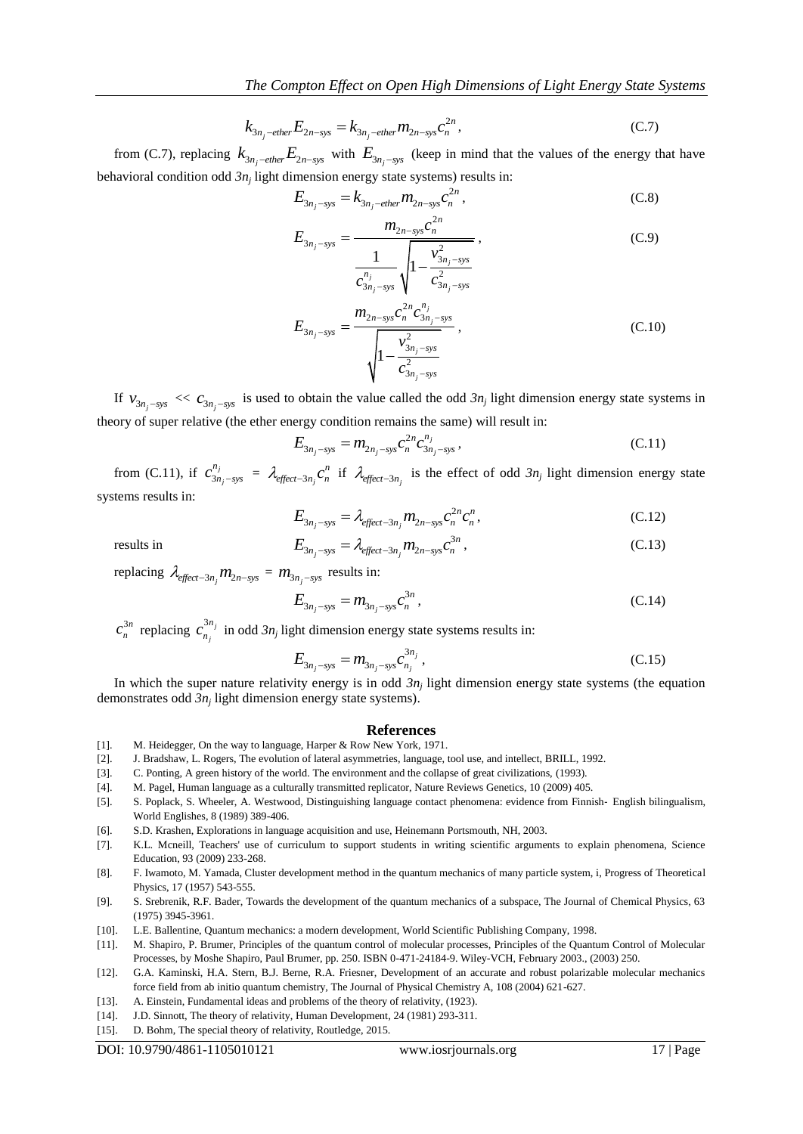$$
k_{3n_j-ether}E_{2n-sys} = k_{3n_j-ether}m_{2n-sys}c_n^{2n},
$$
\n(C.7)

from (C.7), replacing  $k_{3n_j-ether}E_{2n-sys}$  with  $E_{3n_j-sys}$  (keep in mind that the values of the energy that have

behavioural condition odd 
$$
3n_j
$$
 light dimension energy state systems) results in:  
\n
$$
E_{3n_j-sys} = k_{3n_j-ether} m_{2n-sys} c_n^{2n},
$$
\n(C.8)

$$
E_{3n_j - sys} = \frac{m_{2n - sys}c_n^{2n}}{\frac{1}{c_{3n_j - sys}^{n_j}} \sqrt{1 - \frac{v_{3n_j - sys}^2}{c_{3n_j - sys}^{2n_j}}}},
$$
(C.9)

$$
E_{3n_j - sys} = \frac{m_{2n - sys}c_n^{2n}c_{3n_j - sys}^{n_j}}{\sqrt{1 - \frac{v_{3n_j - sys}^2}{c_{3n_j - sys}^2}}},
$$
\n(C.10)

If  $v_{3n_j-sys} \ll c_{3n_j-sys}$  is used to obtain the value called the odd  $3n_j$  light dimension energy state systems in theory of super relative (the ether energy condition remains the same) will result in:

$$
E_{3n_j-sys} = m_{2n_j-sys} c_n^{2n} c_{3n_j-sys}^{n_j},
$$
\n(C.11)

from (C.11), if  $c_{3n}^{n_j}$ *j n*  $c_{3n_j-sys}^{n_j} = \lambda_{\text{effect}-3n_j}$  $\lambda_{effect-3n_j}$  *c*<sup>n</sup> if  $\lambda_{effect-3n_j}$  is the effect of odd  $3n_j$  light dimension energy state systems results in:

$$
E_{3n_j-sys} = \lambda_{effect-3n_j} m_{2n-sys} c_n^{2n} c_n^{n},
$$
\n(C.12)  
\n
$$
E_{3n_j-sys} = \lambda_{effect-3n_j} m_{2n-sys} c_n^{3n},
$$
\n(C.13)

results in

replacing  $\lambda_{effect-3n_j} m_{2n-sys} = m_{3n_j-sys}$  results in:

$$
E_{3n_j-sys} = m_{3n_j-sys} c_n^{3n}, \qquad (C.14)
$$

3*n*  $c_n^{3n}$  replacing  $c_{n_i}^{3n_j}$ *j n*  $c_{n_i}^{3n_j}$  in odd  $3n_j$  light dimension energy state systems results in:

$$
E_{3n_j - sys} = m_{3n_j - sys} c_{n_j}^{3n_j}, \qquad (C.15)
$$

In which the super nature relativity energy is in odd  $3n_j$  light dimension energy state systems (the equation demonstrates odd *3n<sup>j</sup>* light dimension energy state systems).

#### **References**

- [1]. M. Heidegger, On the way to language, Harper & Row New York, 1971.
- [2]. J. Bradshaw, L. Rogers, The evolution of lateral asymmetries, language, tool use, and intellect, BRILL, 1992.
- [3]. C. Ponting, A green history of the world. The environment and the collapse of great civilizations, (1993).
- [4]. M. Pagel, Human language as a culturally transmitted replicator, Nature Reviews Genetics, 10 (2009) 405.
- [5]. S. Poplack, S. Wheeler, A. Westwood, Distinguishing language contact phenomena: evidence from Finnish‐ English bilingualism, World Englishes, 8 (1989) 389-406.
- [6]. S.D. Krashen, Explorations in language acquisition and use, Heinemann Portsmouth, NH, 2003.
- [7]. K.L. Mcneill, Teachers' use of curriculum to support students in writing scientific arguments to explain phenomena, Science Education, 93 (2009) 233-268.
- [8]. F. Iwamoto, M. Yamada, Cluster development method in the quantum mechanics of many particle system, i, Progress of Theoretical Physics, 17 (1957) 543-555.
- [9]. S. Srebrenik, R.F. Bader, Towards the development of the quantum mechanics of a subspace, The Journal of Chemical Physics, 63 (1975) 3945-3961.
- [10]. L.E. Ballentine, Quantum mechanics: a modern development, World Scientific Publishing Company, 1998.
- [11]. M. Shapiro, P. Brumer, Principles of the quantum control of molecular processes, Principles of the Quantum Control of Molecular Processes, by Moshe Shapiro, Paul Brumer, pp. 250. ISBN 0-471-24184-9. Wiley-VCH, February 2003., (2003) 250.
- [12]. G.A. Kaminski, H.A. Stern, B.J. Berne, R.A. Friesner, Development of an accurate and robust polarizable molecular mechanics force field from ab initio quantum chemistry, The Journal of Physical Chemistry A, 108 (2004) 621-627.
- [13]. A. Einstein, Fundamental ideas and problems of the theory of relativity, (1923).
- [14]. J.D. Sinnott, The theory of relativity, Human Development, 24 (1981) 293-311.
- [15]. D. Bohm, The special theory of relativity, Routledge, 2015.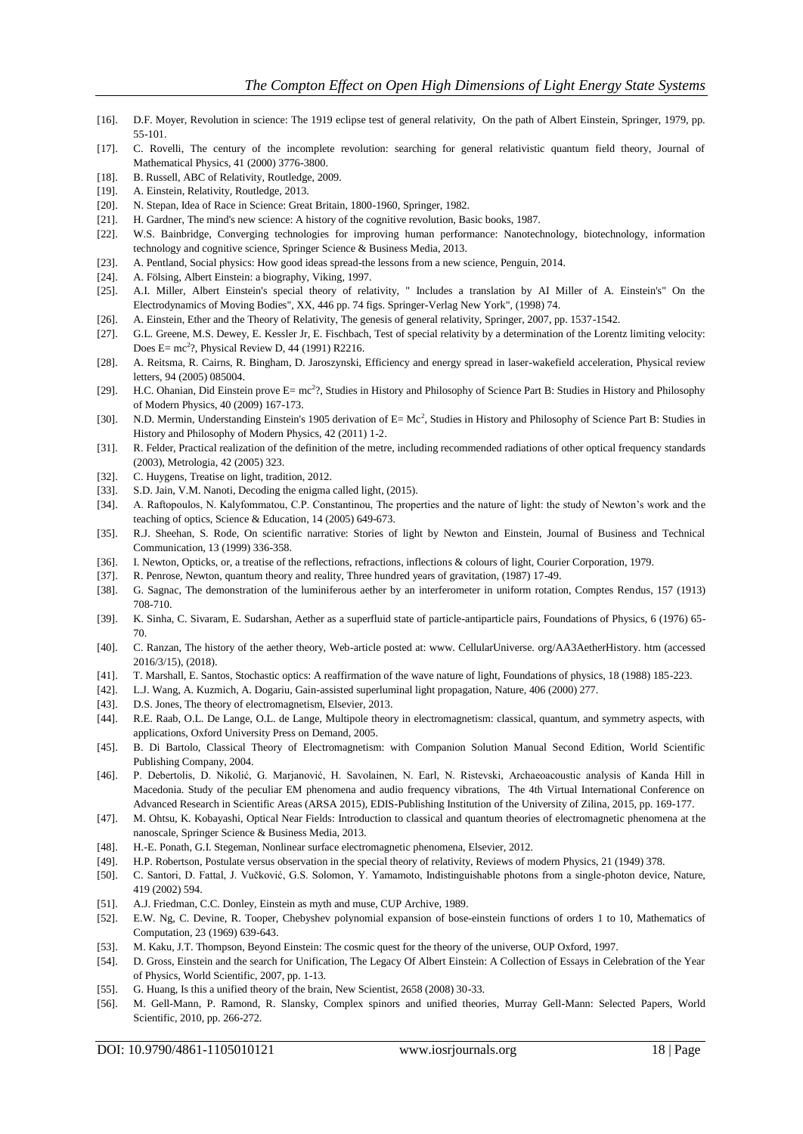- [16]. D.F. Moyer, Revolution in science: The 1919 eclipse test of general relativity, On the path of Albert Einstein, Springer, 1979, pp. 55-101.
- [17]. C. Rovelli, The century of the incomplete revolution: searching for general relativistic quantum field theory, Journal of Mathematical Physics, 41 (2000) 3776-3800.
- [18]. B. Russell, ABC of Relativity, Routledge, 2009.
- [19]. A. Einstein, Relativity, Routledge, 2013.
- [20]. N. Stepan, Idea of Race in Science: Great Britain, 1800-1960, Springer, 1982.
- [21]. H. Gardner, The mind's new science: A history of the cognitive revolution, Basic books, 1987.
- [22]. W.S. Bainbridge, Converging technologies for improving human performance: Nanotechnology, biotechnology, information technology and cognitive science, Springer Science & Business Media, 2013.
- [23]. A. Pentland, Social physics: How good ideas spread-the lessons from a new science, Penguin, 2014.
- [24]. A. Fölsing, Albert Einstein: a biography, Viking, 1997.
- [25]. A.I. Miller, Albert Einstein's special theory of relativity, " Includes a translation by AI Miller of A. Einstein's" On the Electrodynamics of Moving Bodies", XX, 446 pp. 74 figs. Springer-Verlag New York", (1998) 74.
- [26]. A. Einstein, Ether and the Theory of Relativity, The genesis of general relativity, Springer, 2007, pp. 1537-1542.
- [27]. G.L. Greene, M.S. Dewey, E. Kessler Jr, E. Fischbach, Test of special relativity by a determination of the Lorentz limiting velocity: Does E=  $mc^2$ ?, Physical Review D, 44 (1991) R2216.
- [28]. A. Reitsma, R. Cairns, R. Bingham, D. Jaroszynski, Efficiency and energy spread in laser-wakefield acceleration, Physical review letters, 94 (2005) 085004.
- [29]. H.C. Ohanian, Did Einstein prove E= mc<sup>2</sup>?, Studies in History and Philosophy of Science Part B: Studies in History and Philosophy of Modern Physics, 40 (2009) 167-173.
- [30]. N.D. Mermin, Understanding Einstein's 1905 derivation of E= Mc<sup>2</sup>, Studies in History and Philosophy of Science Part B: Studies in History and Philosophy of Modern Physics, 42 (2011) 1-2.
- [31]. R. Felder, Practical realization of the definition of the metre, including recommended radiations of other optical frequency standards (2003), Metrologia, 42 (2005) 323.
- [32]. C. Huygens, Treatise on light, tradition, 2012.
- [33]. S.D. Jain, V.M. Nanoti, Decoding the enigma called light, (2015).
- [34]. A. Raftopoulos, N. Kalyfommatou, C.P. Constantinou, The properties and the nature of light: the study of Newton's work and the teaching of optics, Science & Education, 14 (2005) 649-673.
- [35]. R.J. Sheehan, S. Rode, On scientific narrative: Stories of light by Newton and Einstein, Journal of Business and Technical Communication, 13 (1999) 336-358.
- [36]. I. Newton, Opticks, or, a treatise of the reflections, refractions, inflections & colours of light, Courier Corporation, 1979.
- [37]. R. Penrose, Newton, quantum theory and reality, Three hundred years of gravitation, (1987) 17-49.
- [38]. G. Sagnac, The demonstration of the luminiferous aether by an interferometer in uniform rotation, Comptes Rendus, 157 (1913) 708-710.
- [39]. K. Sinha, C. Sivaram, E. Sudarshan, Aether as a superfluid state of particle-antiparticle pairs, Foundations of Physics, 6 (1976) 65- 70.
- [40]. C. Ranzan, The history of the aether theory, Web-article posted at: www. CellularUniverse. org/AA3AetherHistory. htm (accessed 2016/3/15), (2018).
- [41]. T. Marshall, E. Santos, Stochastic optics: A reaffirmation of the wave nature of light, Foundations of physics, 18 (1988) 185-223.
- [42]. L.J. Wang, A. Kuzmich, A. Dogariu, Gain-assisted superluminal light propagation, Nature, 406 (2000) 277.
- [43]. D.S. Jones, The theory of electromagnetism, Elsevier, 2013.
- [44]. R.E. Raab, O.L. De Lange, O.L. de Lange, Multipole theory in electromagnetism: classical, quantum, and symmetry aspects, with applications, Oxford University Press on Demand, 2005.
- [45]. B. Di Bartolo, Classical Theory of Electromagnetism: with Companion Solution Manual Second Edition, World Scientific Publishing Company, 2004.
- [46]. P. Debertolis, D. Nikolić, G. Marjanović, H. Savolainen, N. Earl, N. Ristevski, Archaeoacoustic analysis of Kanda Hill in Macedonia. Study of the peculiar EM phenomena and audio frequency vibrations, The 4th Virtual International Conference on Advanced Research in Scientific Areas (ARSA 2015), EDIS-Publishing Institution of the University of Zilina, 2015, pp. 169-177.
- [47]. M. Ohtsu, K. Kobayashi, Optical Near Fields: Introduction to classical and quantum theories of electromagnetic phenomena at the nanoscale, Springer Science & Business Media, 2013.
- [48]. H.-E. Ponath, G.I. Stegeman, Nonlinear surface electromagnetic phenomena, Elsevier, 2012.
- [49]. H.P. Robertson, Postulate versus observation in the special theory of relativity, Reviews of modern Physics, 21 (1949) 378.
- [50]. C. Santori, D. Fattal, J. Vučković, G.S. Solomon, Y. Yamamoto, Indistinguishable photons from a single-photon device, Nature, 419 (2002) 594.
- [51]. A.J. Friedman, C.C. Donley, Einstein as myth and muse, CUP Archive, 1989.
- [52]. E.W. Ng, C. Devine, R. Tooper, Chebyshev polynomial expansion of bose-einstein functions of orders 1 to 10, Mathematics of Computation, 23 (1969) 639-643.
- [53]. M. Kaku, J.T. Thompson, Beyond Einstein: The cosmic quest for the theory of the universe, OUP Oxford, 1997.
- [54]. D. Gross, Einstein and the search for Unification, The Legacy Of Albert Einstein: A Collection of Essays in Celebration of the Year of Physics, World Scientific, 2007, pp. 1-13.
- [55]. G. Huang, Is this a unified theory of the brain, New Scientist, 2658 (2008) 30-33.
- [56]. M. Gell-Mann, P. Ramond, R. Slansky, Complex spinors and unified theories, Murray Gell-Mann: Selected Papers, World Scientific, 2010, pp. 266-272.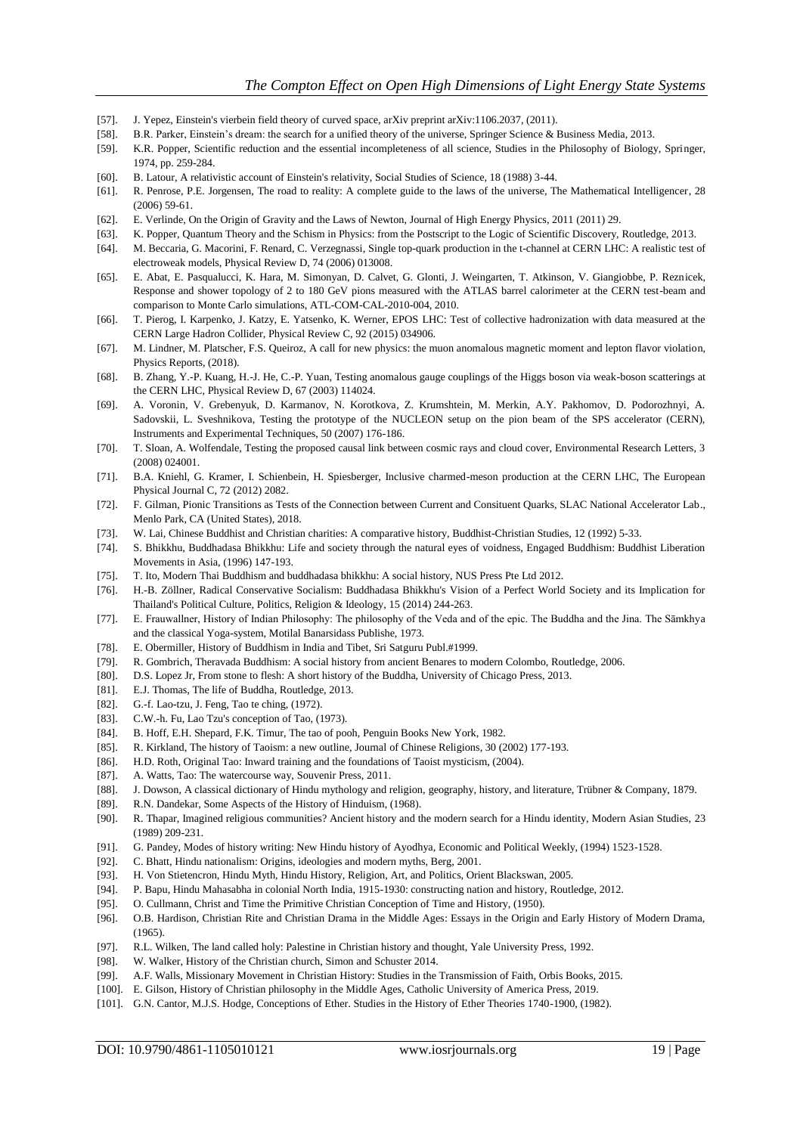- [57]. J. Yepez, Einstein's vierbein field theory of curved space, arXiv preprint arXiv:1106.2037, (2011).
- [58]. B.R. Parker, Einstein's dream: the search for a unified theory of the universe, Springer Science & Business Media, 2013.
- [59]. K.R. Popper, Scientific reduction and the essential incompleteness of all science, Studies in the Philosophy of Biology, Springer, 1974, pp. 259-284.
- [60]. B. Latour, A relativistic account of Einstein's relativity, Social Studies of Science, 18 (1988) 3-44.
- [61]. R. Penrose, P.E. Jorgensen, The road to reality: A complete guide to the laws of the universe, The Mathematical Intelligencer, 28 (2006) 59-61.
- [62]. E. Verlinde, On the Origin of Gravity and the Laws of Newton, Journal of High Energy Physics, 2011 (2011) 29.
- [63]. K. Popper, Quantum Theory and the Schism in Physics: from the Postscript to the Logic of Scientific Discovery, Routledge, 2013.
- [64]. M. Beccaria, G. Macorini, F. Renard, C. Verzegnassi, Single top-quark production in the t-channel at CERN LHC: A realistic test of electroweak models, Physical Review D, 74 (2006) 013008.
- [65]. E. Abat, E. Pasqualucci, K. Hara, M. Simonyan, D. Calvet, G. Glonti, J. Weingarten, T. Atkinson, V. Giangiobbe, P. Reznicek, Response and shower topology of 2 to 180 GeV pions measured with the ATLAS barrel calorimeter at the CERN test-beam and comparison to Monte Carlo simulations, ATL-COM-CAL-2010-004, 2010.
- [66]. T. Pierog, I. Karpenko, J. Katzy, E. Yatsenko, K. Werner, EPOS LHC: Test of collective hadronization with data measured at the CERN Large Hadron Collider, Physical Review C, 92 (2015) 034906.
- [67]. M. Lindner, M. Platscher, F.S. Queiroz, A call for new physics: the muon anomalous magnetic moment and lepton flavor violation, Physics Reports, (2018).
- [68]. B. Zhang, Y.-P. Kuang, H.-J. He, C.-P. Yuan, Testing anomalous gauge couplings of the Higgs boson via weak-boson scatterings at the CERN LHC, Physical Review D, 67 (2003) 114024.
- [69]. A. Voronin, V. Grebenyuk, D. Karmanov, N. Korotkova, Z. Krumshtein, M. Merkin, A.Y. Pakhomov, D. Podorozhnyi, A. Sadovskii, L. Sveshnikova, Testing the prototype of the NUCLEON setup on the pion beam of the SPS accelerator (CERN), Instruments and Experimental Techniques, 50 (2007) 176-186.
- [70]. T. Sloan, A. Wolfendale, Testing the proposed causal link between cosmic rays and cloud cover, Environmental Research Letters, 3 (2008) 024001.
- [71]. B.A. Kniehl, G. Kramer, I. Schienbein, H. Spiesberger, Inclusive charmed-meson production at the CERN LHC, The European Physical Journal C, 72 (2012) 2082.
- [72]. F. Gilman, Pionic Transitions as Tests of the Connection between Current and Consituent Quarks, SLAC National Accelerator Lab., Menlo Park, CA (United States), 2018.
- [73]. W. Lai, Chinese Buddhist and Christian charities: A comparative history, Buddhist-Christian Studies, 12 (1992) 5-33.
- [74]. S. Bhikkhu, Buddhadasa Bhikkhu: Life and society through the natural eyes of voidness, Engaged Buddhism: Buddhist Liberation Movements in Asia, (1996) 147-193.
- [75]. T. Ito, Modern Thai Buddhism and buddhadasa bhikkhu: A social history, NUS Press Pte Ltd 2012.
- [76]. H.-B. Zöllner, Radical Conservative Socialism: Buddhadasa Bhikkhu's Vision of a Perfect World Society and its Implication for Thailand's Political Culture, Politics, Religion & Ideology, 15 (2014) 244-263.
- [77]. E. Frauwallner, History of Indian Philosophy: The philosophy of the Veda and of the epic. The Buddha and the Jina. The Sāmkhya and the classical Yoga-system, Motilal Banarsidass Publishe, 1973.
- [78]. E. Obermiller, History of Buddhism in India and Tibet, Sri Satguru Publ.#1999.
- [79]. R. Gombrich, Theravada Buddhism: A social history from ancient Benares to modern Colombo, Routledge, 2006.
- [80]. D.S. Lopez Jr, From stone to flesh: A short history of the Buddha, University of Chicago Press, 2013.
- [81]. E.J. Thomas, The life of Buddha, Routledge, 2013.
- [82]. G.-f. Lao-tzu, J. Feng, Tao te ching, (1972).
- [83]. C.W.-h. Fu, Lao Tzu's conception of Tao, (1973).
- [84]. B. Hoff, E.H. Shepard, F.K. Timur, The tao of pooh, Penguin Books New York, 1982.
- [85]. R. Kirkland, The history of Taoism: a new outline, Journal of Chinese Religions, 30 (2002) 177-193.
- [86]. H.D. Roth, Original Tao: Inward training and the foundations of Taoist mysticism, (2004).
- [87]. A. Watts, Tao: The watercourse way, Souvenir Press, 2011.
- [88]. J. Dowson, A classical dictionary of Hindu mythology and religion, geography, history, and literature, Trübner & Company, 1879.
- [89]. R.N. Dandekar, Some Aspects of the History of Hinduism, (1968).
- [90]. R. Thapar, Imagined religious communities? Ancient history and the modern search for a Hindu identity, Modern Asian Studies, 23 (1989) 209-231.
- [91]. G. Pandey, Modes of history writing: New Hindu history of Ayodhya, Economic and Political Weekly, (1994) 1523-1528.
- [92]. C. Bhatt, Hindu nationalism: Origins, ideologies and modern myths, Berg, 2001.
- [93]. H. Von Stietencron, Hindu Myth, Hindu History, Religion, Art, and Politics, Orient Blackswan, 2005.
- [94]. P. Bapu, Hindu Mahasabha in colonial North India, 1915-1930: constructing nation and history, Routledge, 2012.
- [95]. O. Cullmann, Christ and Time the Primitive Christian Conception of Time and History, (1950).
- [96]. O.B. Hardison, Christian Rite and Christian Drama in the Middle Ages: Essays in the Origin and Early History of Modern Drama, (1965).
- [97]. R.L. Wilken, The land called holy: Palestine in Christian history and thought, Yale University Press, 1992.
- [98]. W. Walker, History of the Christian church, Simon and Schuster 2014.
- [99]. A.F. Walls, Missionary Movement in Christian History: Studies in the Transmission of Faith, Orbis Books, 2015.
- [100]. E. Gilson, History of Christian philosophy in the Middle Ages, Catholic University of America Press, 2019.
- [101]. G.N. Cantor, M.J.S. Hodge, Conceptions of Ether. Studies in the History of Ether Theories 1740-1900, (1982).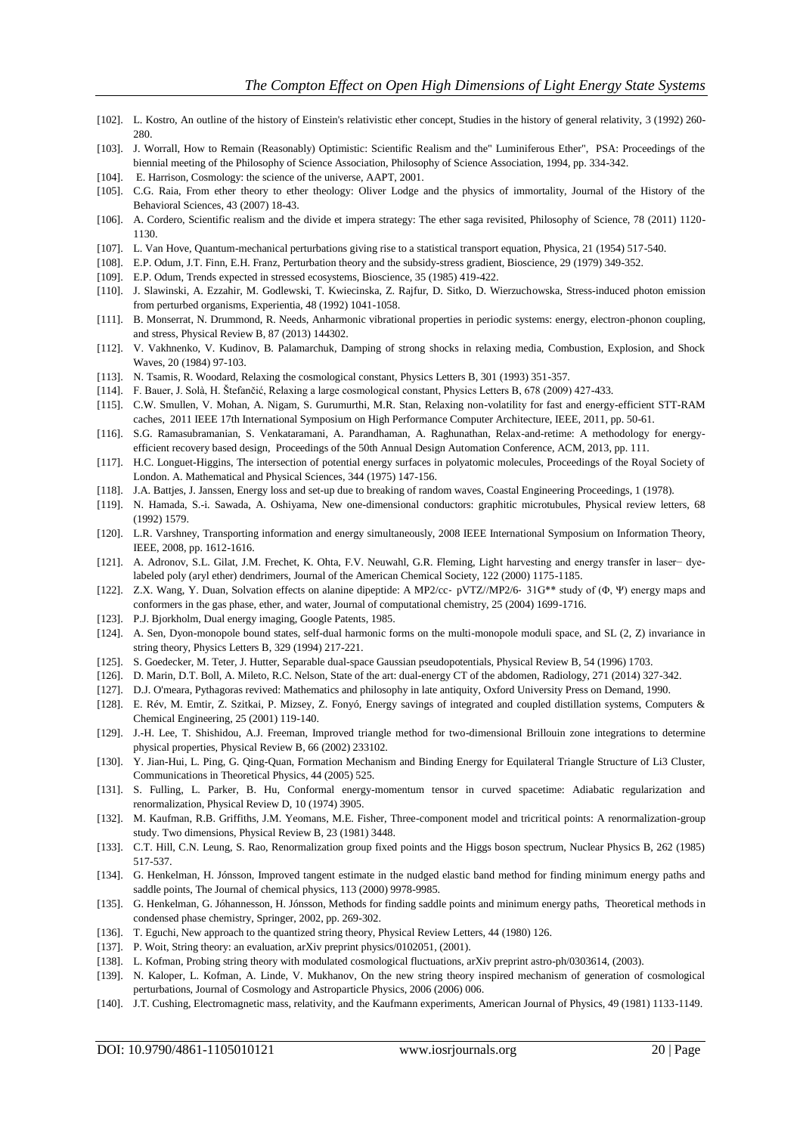- [102]. L. Kostro, An outline of the history of Einstein's relativistic ether concept, Studies in the history of general relativity, 3 (1992) 260- 280.
- [103]. J. Worrall, How to Remain (Reasonably) Optimistic: Scientific Realism and the" Luminiferous Ether", PSA: Proceedings of the biennial meeting of the Philosophy of Science Association, Philosophy of Science Association, 1994, pp. 334-342.
- [104]. E. Harrison, Cosmology: the science of the universe, AAPT, 2001.
- [105]. C.G. Raia, From ether theory to ether theology: Oliver Lodge and the physics of immortality, Journal of the History of the Behavioral Sciences, 43 (2007) 18-43.
- [106]. A. Cordero, Scientific realism and the divide et impera strategy: The ether saga revisited, Philosophy of Science, 78 (2011) 1120- 1130.
- [107]. L. Van Hove, Quantum-mechanical perturbations giving rise to a statistical transport equation, Physica, 21 (1954) 517-540.
- [108]. E.P. Odum, J.T. Finn, E.H. Franz, Perturbation theory and the subsidy-stress gradient, Bioscience, 29 (1979) 349-352.
- [109]. E.P. Odum, Trends expected in stressed ecosystems, Bioscience, 35 (1985) 419-422.
- [110]. J. Slawinski, A. Ezzahir, M. Godlewski, T. Kwiecinska, Z. Rajfur, D. Sitko, D. Wierzuchowska, Stress-induced photon emission from perturbed organisms, Experientia, 48 (1992) 1041-1058.
- [111]. B. Monserrat, N. Drummond, R. Needs, Anharmonic vibrational properties in periodic systems: energy, electron-phonon coupling, and stress, Physical Review B, 87 (2013) 144302.
- [112]. V. Vakhnenko, V. Kudinov, B. Palamarchuk, Damping of strong shocks in relaxing media, Combustion, Explosion, and Shock Waves, 20 (1984) 97-103.
- [113]. N. Tsamis, R. Woodard, Relaxing the cosmological constant, Physics Letters B, 301 (1993) 351-357.
- [114]. F. Bauer, J. Solà, H. Štefančić, Relaxing a large cosmological constant, Physics Letters B, 678 (2009) 427-433.
- [115]. C.W. Smullen, V. Mohan, A. Nigam, S. Gurumurthi, M.R. Stan, Relaxing non-volatility for fast and energy-efficient STT-RAM caches, 2011 IEEE 17th International Symposium on High Performance Computer Architecture, IEEE, 2011, pp. 50-61.
- [116]. S.G. Ramasubramanian, S. Venkataramani, A. Parandhaman, A. Raghunathan, Relax-and-retime: A methodology for energyefficient recovery based design, Proceedings of the 50th Annual Design Automation Conference, ACM, 2013, pp. 111.
- [117]. H.C. Longuet-Higgins, The intersection of potential energy surfaces in polyatomic molecules, Proceedings of the Royal Society of London. A. Mathematical and Physical Sciences, 344 (1975) 147-156.
- [118]. J.A. Battjes, J. Janssen, Energy loss and set-up due to breaking of random waves, Coastal Engineering Proceedings, 1 (1978).
- [119]. N. Hamada, S.-i. Sawada, A. Oshiyama, New one-dimensional conductors: graphitic microtubules, Physical review letters, 68 (1992) 1579.
- [120]. L.R. Varshney, Transporting information and energy simultaneously, 2008 IEEE International Symposium on Information Theory, IEEE, 2008, pp. 1612-1616.
- [121]. A. Adronov, S.L. Gilat, J.M. Frechet, K. Ohta, F.V. Neuwahl, G.R. Fleming, Light harvesting and energy transfer in laser− dyelabeled poly (aryl ether) dendrimers, Journal of the American Chemical Society, 122 (2000) 1175-1185.
- [122]. Z.X. Wang, Y. Duan, Solvation effects on alanine dipeptide: A MP2/cc‐ pVTZ//MP2/6‐ 31G\*\* study of (Φ, Ψ) energy maps and conformers in the gas phase, ether, and water, Journal of computational chemistry, 25 (2004) 1699-1716.
- [123]. P.J. Bjorkholm, Dual energy imaging, Google Patents, 1985.
- [124]. A. Sen, Dyon-monopole bound states, self-dual harmonic forms on the multi-monopole moduli space, and SL (2, Z) invariance in string theory, Physics Letters B, 329 (1994) 217-221.
- [125]. S. Goedecker, M. Teter, J. Hutter, Separable dual-space Gaussian pseudopotentials, Physical Review B, 54 (1996) 1703.
- [126]. D. Marin, D.T. Boll, A. Mileto, R.C. Nelson, State of the art: dual-energy CT of the abdomen, Radiology, 271 (2014) 327-342.
- [127]. D.J. O'meara, Pythagoras revived: Mathematics and philosophy in late antiquity, Oxford University Press on Demand, 1990.
- [128]. E. Rév, M. Emtir, Z. Szitkai, P. Mizsey, Z. Fonyó, Energy savings of integrated and coupled distillation systems, Computers & Chemical Engineering, 25 (2001) 119-140.
- [129]. J.-H. Lee, T. Shishidou, A.J. Freeman, Improved triangle method for two-dimensional Brillouin zone integrations to determine physical properties, Physical Review B, 66 (2002) 233102.
- [130]. Y. Jian-Hui, L. Ping, G. Qing-Quan, Formation Mechanism and Binding Energy for Equilateral Triangle Structure of Li3 Cluster, Communications in Theoretical Physics, 44 (2005) 525.
- [131]. S. Fulling, L. Parker, B. Hu, Conformal energy-momentum tensor in curved spacetime: Adiabatic regularization and renormalization, Physical Review D, 10 (1974) 3905.
- [132]. M. Kaufman, R.B. Griffiths, J.M. Yeomans, M.E. Fisher, Three-component model and tricritical points: A renormalization-group study. Two dimensions, Physical Review B, 23 (1981) 3448.
- [133]. C.T. Hill, C.N. Leung, S. Rao, Renormalization group fixed points and the Higgs boson spectrum, Nuclear Physics B, 262 (1985) 517-537.
- [134]. G. Henkelman, H. Jónsson, Improved tangent estimate in the nudged elastic band method for finding minimum energy paths and saddle points, The Journal of chemical physics, 113 (2000) 9978-9985.
- [135]. G. Henkelman, G. Jóhannesson, H. Jónsson, Methods for finding saddle points and minimum energy paths, Theoretical methods in condensed phase chemistry, Springer, 2002, pp. 269-302.
- [136]. T. Eguchi, New approach to the quantized string theory, Physical Review Letters, 44 (1980) 126.
- [137]. P. Woit, String theory: an evaluation, arXiv preprint physics/0102051, (2001).
- [138]. L. Kofman, Probing string theory with modulated cosmological fluctuations, arXiv preprint astro-ph/0303614, (2003).
- [139]. N. Kaloper, L. Kofman, A. Linde, V. Mukhanov, On the new string theory inspired mechanism of generation of cosmological perturbations, Journal of Cosmology and Astroparticle Physics, 2006 (2006) 006.
- [140]. J.T. Cushing, Electromagnetic mass, relativity, and the Kaufmann experiments, American Journal of Physics, 49 (1981) 1133-1149.